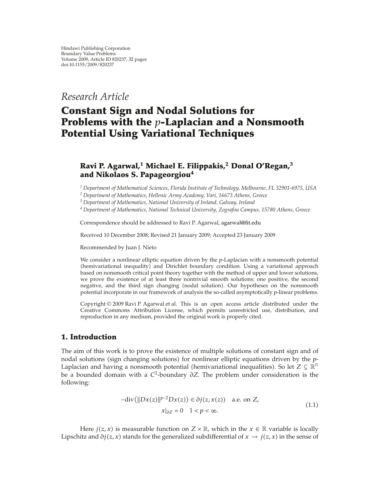*Research Article*

# **Constant Sign and Nodal Solutions for Problems with the** *p***-Laplacian and a Nonsmooth Potential Using Variational Techniques**

# **Ravi P. Agarwal,<sup>1</sup> Michael E. Filippakis,2 Donal O'Regan,<sup>3</sup> and Nikolaos S. Papageorgiou<sup>4</sup>**

*<sup>1</sup> Department of Mathematical Sciences, Florida Institute of Technology, Melbourne, FL 32901-6975, USA*

*<sup>2</sup> Department of Mathematics, Hellenic Army Academy, Vari, 16673 Athens, Greece*

*<sup>3</sup> Department of Mathematics, National University of Ireland, Galway, Ireland*

*<sup>4</sup> Department of Mathematics, National Technical University, Zografou Campus, 15780 Athens, Greece*

Correspondence should be addressed to Ravi P. Agarwal, agarwal@fit.edu

Received 10 December 2008; Revised 21 January 2009; Accepted 23 January 2009

Recommended by Juan J. Nieto

We consider a nonlinear elliptic equation driven by the *p*-Laplacian with a nonsmooth potential (hemivariational inequality) and Dirichlet boundary condition. Using a variational approach based on nonsmooth critical point theory together with the method of upper and lower solutions, we prove the existence of at least three nontrivial smooth solutions: one positive, the second negative, and the third sign changing (nodal solution). Our hypotheses on the nonsmooth potential incorporate in our framework of analysis the so-called asymptotically *p*-linear problems.

Copyright © 2009 Ravi P. Agarwal et al. This is an open access article distributed under the Creative Commons Attribution License, which permits unrestricted use, distribution, and reproduction in any medium, provided the original work is properly cited.

## **1. Introduction**

The aim of this work is to prove the existence of multiple solutions of constant sign and of nodal solutions (sign changing solutions) for nonlinear elliptic equations driven by the *p*-Laplacian and having a nonsmooth potential (hemivariational inequalities). So let  $Z \subseteq \mathbb{R}^N$ be a bounded domain with a *C*2-boundary *∂Z.* The problem under consideration is the following:

$$
-div(\|Dx(z)\|^{p-2}Dx(z)) \in \partial j(z, x(z)) \quad \text{a.e. on } Z,
$$
  

$$
x|_{\partial Z} = 0 \quad 1 < p < \infty.
$$
 (1.1)

Here *j*(*z*, *x*) is measurable function on *Z* × R, which in the *x*  $\in$  R variable is locally Lipschitz and  $\partial j(z, x)$  stands for the generalized subdifferential of  $x \to j(z, x)$  in the sense of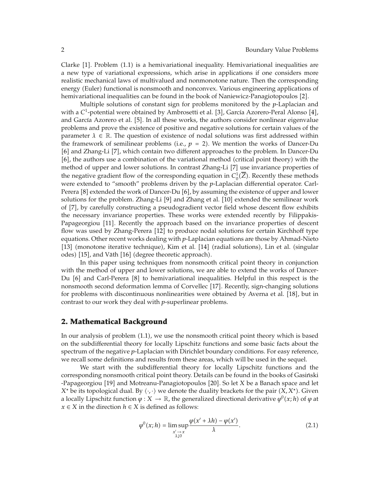Clarke [1]. Problem (1.1) is a hemivariational inequality. Hemivariational inequalities are a new type of variational expressions, which arise in applications if one considers more realistic mechanical laws of multivalued and nonmonotone nature. Then the corresponding energy (Euler) functional is nonsmooth and nonconvex. Various engineering applications of hemivariational inequalities can be found in the book of Naniewicz-Panagiotopoulos [2].

Multiple solutions of constant sign for problems monitored by the *p*-Laplacian and with a C<sup>1</sup>-potential were obtained by Ambrosetti et al. [3], García Azorero-Peral Alonso [4], and García Azorero et al. [5]. In all these works, the authors consider nonlinear eigenvalue problems and prove the existence of positive and negative solutions for certain values of the parameter  $\lambda \in \mathbb{R}$ . The question of existence of nodal solutions was first addressed within the framework of semilinear problems (i.e.,  $p = 2$ ). We mention the works of Dancer-Du [6] and Zhang-Li [7], which contain two different approaches to the problem. In Dancer-Du [6], the authors use a combination of the variational method (critical point theory) with the method of upper and lower solutions. In contrast Zhang-Li [7] use invariance properties of the negative gradient flow of the corresponding equation in  $C_0^1(\overline{Z})$ . Recently these methods were extended to "smooth" problems driven by the *p*-Laplacian differential operator. Carl-Perera  $[8]$  extended the work of Dancer-Du  $[6]$ , by assuming the existence of upper and lower solutions for the problem. Zhang-Li [9] and Zhang et al. [10] extended the semilinear work of [7], by carefully constructing a pseudogradient vector field whose descent flow exhibits the necessary invariance properties. These works were extended recently by Filippakis-Papageorgiou [11]. Recently the approach based on the invariance properties of descent flow was used by Zhang-Perera [12] to produce nodal solutions for certain Kirchhoff type equations. Other recent works dealing with *p*-Laplacian equations are those by Ahmad-Nieto [13] (monotone iterative technique), Kim et al. [14] (radial solutions), Lin et al. (singular odes) [15], and Väth [16] (degree theoretic approach).

In this paper using techniques from nonsmooth critical point theory in conjunction with the method of upper and lower solutions, we are able to extend the works of Dancer-Du  $[6]$  and Carl-Perera  $[8]$  to hemivariational inequalities. Helpful in this respect is the nonsmooth second deformation lemma of Corvellec [17]. Recently, sign-changing solutions for problems with discontinuous nonlinearities were obtained by Averna et al. [18], but in contrast to our work they deal with *p*-superlinear problems.

## **2. Mathematical Background**

In our analysis of problem  $(1.1)$ , we use the nonsmooth critical point theory which is based on the subdifferential theory for locally Lipschitz functions and some basic facts about the spectrum of the negative *p*-Laplacian with Dirichlet boundary conditions. For easy reference, we recall some definitions and results from these areas, which will be used in the sequel.

We start with the subdifferential theory for locally Lipschitz functions and the corresponding nonsmooth critical point theory. Details can be found in the books of Gasinski ´ -Papageorgiou 19 and Motreanu-Panagiotopoulos 20. So let *X* be a Banach space and let *X*<sup>∗</sup> be its topological dual. By  $\langle \cdot, \cdot \rangle$  we denote the duality brackets for the pair  $(\overline{X}, X^*)$ . Given a locally Lipschitz function  $\varphi: X \to \mathbb{R}$ , the generalized directional derivative  $\varphi^0(x; h)$  of  $\varphi$  at *x* ∈ *X* in the direction *h* ∈ *X* is defined as follows:

$$
\varphi^{0}(x; h) = \limsup_{\substack{x' \to x \\ \lambda \downarrow 0}} \frac{\varphi(x' + \lambda h) - \varphi(x')}{\lambda}.
$$
\n(2.1)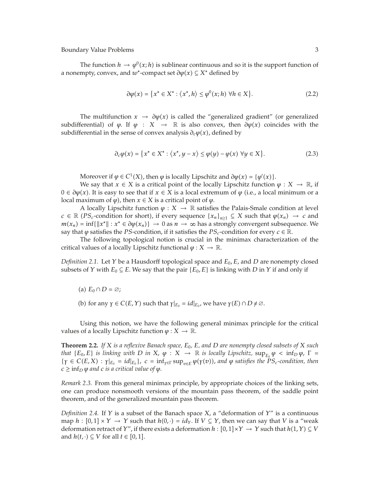The function  $h \to \varphi^0(x; h)$  is sublinear continuous and so it is the support function of a nonempty, convex, and *w*<sup>∗</sup>-compact set  $\partial \varphi(x) \subseteq X^*$  defined by

$$
\partial \varphi(x) = \{ x^* \in X^* : \langle x^*, h \rangle \le \varphi^0(x; h) \,\,\forall h \in X \}. \tag{2.2}
$$

The multifunction  $x \to \partial \varphi(x)$  is called the "generalized gradient" (or generalized subdifferential) of  $\varphi$ . If  $\varphi$  :  $X \to \mathbb{R}$  is also convex, then  $\partial \varphi(x)$  coincides with the subdifferential in the sense of convex analysis  $\partial_c \varphi(x)$ , defined by

$$
\partial_c \varphi(x) = \{ x^* \in X^* : \langle x^*, y - x \rangle \le \varphi(y) - \varphi(x) \,\,\forall y \in X \}. \tag{2.3}
$$

Moreover if  $\varphi \in C^1(X)$ , then  $\varphi$  is locally Lipschitz and  $\partial \varphi(x) = {\varphi'(x)}$ .

We say that  $x \in X$  is a critical point of the locally Lipschitz function  $\varphi : X \to \mathbb{R}$ , if  $0 ∈ ∂φ(x)$ . It is easy to see that if  $x ∈ X$  is a local extremum of  $φ$  (i.e., a local minimum or a local maximum of  $\varphi$ ), then  $x \in X$  is a critical point of  $\varphi$ .

A locally Lipschitz function  $\varphi : X \to \mathbb{R}$  satisfies the Palais-Smale condition at level  $c \in \mathbb{R}$  (*PS<sub>c</sub>*-condition for short), if every sequence  $\{x_n\}_{n\geq 1} \subseteq X$  such that  $\varphi(x_n) \to c$  and  $m(x_n) = \inf\{\Vert x^* \Vert : x^* \in \partial \varphi(x_n)\} \to 0$  as  $n \to \infty$  has a strongly convergent subsequence. We say that  $\varphi$  satisfies the *PS*-condition, if it satisfies the *PS<sub>c</sub>*-condition for every  $c \in \mathbb{R}$ .

The following topological notion is crucial in the minimax characterization of the critical values of a locally Lipschitz functional  $\varphi: X \to \mathbb{R}$ .

*Definition 2.1.* Let *Y* be a Hausdorff topological space and *E*0*, E,* and *D* are nonempty closed subsets of *Y* with  $E_0 \subseteq E$ . We say that the pair  $\{E_0, E\}$  is linking with *D* in *Y* if and only if

- (a)  $E_0 \cap D = \emptyset$ ;
- (b) for any  $\gamma \in C(E, Y)$  such that  $\gamma|_{E_0} = id|_{E_0}$ , we have  $\gamma(E) \cap D \neq \emptyset$ .

Using this notion, we have the following general minimax principle for the critical values of a locally Lipschitz function  $\varphi : X \to \mathbb{R}$ .

**Theorem 2.2.** If X is a reflexive Banach space,  $E_0$ ,  $E$ , and  $D$  are nonempty closed subsets of X such *that*  ${E_0, E}$  *is linking with D in X*,  $\varphi : X \to \mathbb{R}$  *is locally Lipschitz*,  $\sup_{E_0} \varphi < \inf_D \varphi$ ,  $\Gamma =$  $\{\gamma \in C(E,X) : \gamma|_{E_0} = id|_{E_0}\},\ c = \inf_{\gamma \in \Gamma} \sup_{v \in E} \varphi(\gamma(v))$ , and  $\varphi$  satisfies the  $PS_c$ -condition, then  $c \ge \inf_D \varphi$  *and c is a critical value of*  $\varphi$ *.* 

*Remark 2.3.* From this general minimax principle, by appropriate choices of the linking sets, one can produce nonsmooth versions of the mountain pass theorem, of the saddle point theorem, and of the generalized mountain pass theorem.

*Definition 2.4.* If *Y* is a subset of the Banach space *X,* a "deformation of *Y*" is a continuous map *h* :  $[0,1] \times Y \rightarrow Y$  such that  $h(0,\cdot) = id_Y$ . If  $V \subseteq Y$ , then we can say that *V* is a "weak deformation retract of *Y*", if there exists a deformation  $h : [0,1] \times Y \rightarrow Y$  such that  $h(1, Y) \subseteq V$ and  $h(t, \cdot) \subseteq V$  for all  $t \in [0, 1]$ .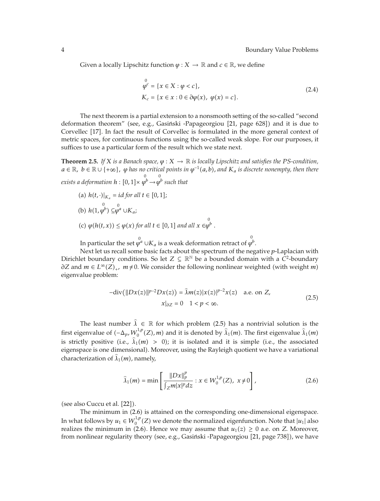Given a locally Lipschitz function  $\varphi: X \to \mathbb{R}$  and  $c \in \mathbb{R}$ , we define

$$
\varphi^{0} = \{x \in X : \varphi < c\},\
$$
\n
$$
K_{c} = \{x \in x : 0 \in \partial \varphi(x), \varphi(x) = c\}.\tag{2.4}
$$

The next theorem is a partial extension to a nonsmooth setting of the so-called "second deformation theorem" (see, e.g., Gasiński -Papageorgiou [21, page 628]) and it is due to Corvellec [17]. In fact the result of Corvellec is formulated in the more general context of metric spaces, for continuous functions using the so-called weak slope. For our purposes, it suffices to use a particular form of the result which we state next.

**Theorem 2.5.** *If*  $X$  *is a Banach space,*  $\varphi$  :  $X \to \mathbb{R}$  *is locally Lipschitz and satisfies the PS-condition,*  $a \in \mathbb{R}$ ,  $b \in \mathbb{R} \cup \{+\infty\}$ ,  $\varphi$  *has no critical points in*  $\varphi^{-1}(a, b)$ , and  $K_a$  *is discrete nonempty, then there*  $exists \ a \ deformation \ h: [0,1] \times \overset{0}{\varphi^b} \rightarrow \overset{0}{\varphi^b} \ such \ that$ 

(a)  $h(t, \cdot)|_{K_a} = id$  *for all*  $t \in [0, 1];$ (b)  $h(1, \varphi^b) \subseteq \varphi^a \cup K_a$ ; (c)  $\varphi(h(t, x)) \leq \varphi(x)$  for all  $t \in [0, 1]$  and all  $x \in \varphi^b$ . In particular the set  $\stackrel{0}{\varphi^a} \cup K_a$  is a weak deformation retract of  $\stackrel{0}{\varphi^b}$ .

Next let us recall some basic facts about the spectrum of the negative *p*-Laplacian with Dirichlet boundary conditions. So let  $Z \subseteq \mathbb{R}^N$  be a bounded domain with a  $C^2$ -boundary *∂Z* and *m* ∈ *L*<sup>∞</sup>(*Z*)<sub>+</sub>, *m* ≠ 0. We consider the following nonlinear weighted (with weight *m*) eigenvalue problem:

$$
-div(||Dx(z)||^{p-2}Dx(z)) = \hat{\lambda}m(z)|x(z)|^{p-2}x(z) \quad \text{a.e. on } Z,
$$
  

$$
x|_{\partial Z} = 0 \quad 1 < p < \infty.
$$
 (2.5)

The least number  $\hat{\lambda} \in \mathbb{R}$  for which problem (2.5) has a nontrivial solution is the first eigenvalue of  $(-\Delta_p, W_0^{1,p}(Z), m)$  and it is denoted by  $\widehat{\lambda}_1(m)$ . The first eigenvalue  $\widehat{\lambda}_1(m)$ is strictly positive (i.e.,  $\hat{\lambda}_1(m) > 0$ ); it is isolated and it is simple (i.e., the associated eigenspace is one dimensional). Moreover, using the Rayleigh quotient we have a variational characterization of  $\widehat{\lambda}_1(m)$ , namely,

$$
\hat{\lambda}_1(m) = \min \left[ \frac{\|Dx\|_p^p}{\int_Z m |x|^p dz} : x \in W_0^{1,p}(Z), \ x \neq 0 \right],
$$
\n(2.6)

(see also Cuccu et al. [22]).

The minimum in (2.6) is attained on the corresponding one-dimensional eigenspace. In what follows by  $u_1 \in W_0^{1,p}(Z)$  we denote the normalized eigenfunction. Note that  $|u_1|$  also realizes the minimum in (2.6). Hence we may assume that  $u_1(z) \geq 0$  a.e. on *Z*. Moreover, from nonlinear regularity theory (see, e.g., Gasiński -Papageorgiou [21, page 738]), we have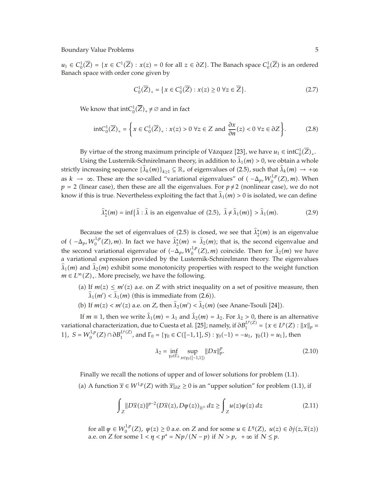*u*<sub>1</sub> ∈  $C_0^1(\overline{Z}) = \{x \in C^1(\overline{Z}) : x(z) = 0 \text{ for all } z \in \partial Z\}$ . The Banach space  $C_0^1(\overline{Z})$  is an ordered Banach space with order cone given by

$$
C_0^1(\overline{Z})_+ = \{ x \in C_0^1(\overline{Z}) : x(z) \ge 0 \,\,\forall z \in \overline{Z} \}. \tag{2.7}
$$

We know that  $intC_0^1(\overline{Z})_+ \neq \varnothing$  and in fact

$$
\text{int}C_0^1(\overline{Z})_+ = \left\{ x \in C_0^1(\overline{Z})_+ : x(z) > 0 \,\,\forall z \in Z \text{ and } \frac{\partial x}{\partial n}(z) < 0 \,\,\forall z \in \partial Z \right\}.
$$
 (2.8)

By virtue of the strong maximum principle of Vázquez [23], we have  $u_1 \in \text{int}C_0^1(\overline{Z})_+$ .

Using the Lusternik-Schnirelmann theory, in addition to  $\hat{\lambda}_1(m) > 0$ , we obtain a whole strictly increasing sequence  $\{\hat{\lambda}_k(m)\}_{k\geq 1} \subseteq \mathbb{R}_+$  of eigenvalues of (2.5), such that  $\hat{\lambda}_k(m) \to +\infty$ as  $k \to \infty$ . These are the so-called "variational eigenvalues" of  $(-\Delta_p, W_0^{1,p}(Z), m)$ . When  $p = 2$  (linear case), then these are all the eigenvalues. For  $p \neq 2$  (nonlinear case), we do not know if this is true. Nevertheless exploiting the fact that  $\hat{\lambda}_1(m) > 0$  is isolated, we can define

$$
\widehat{\lambda}_2^*(m) = \inf \{ \widehat{\lambda} : \widehat{\lambda} \text{ is an eigenvalue of (2.5), } \widehat{\lambda} \neq \widehat{\lambda}_1(m) \} > \widehat{\lambda}_1(m). \tag{2.9}
$$

Because the set of eigenvalues of  $(2.5)$  is closed, we see that  $\hat{\lambda}^*_{2}(m)$  is an eigenvalue of  $(-\Delta_p, W_0^{1,p}(Z), m)$ . In fact we have  $\hat{\lambda}_2^*(m) = \hat{\lambda}_2(m)$ ; that is, the second eigenvalue and the second variational eigenvalue of  $(-\Delta_p, W_0^{1,p}(Z), m)$  coincide. Then for  $\hat{\lambda}_2(m)$  we have a variational expression provided by the Lusternik-Schnirelmann theory. The eigenvalues  $\hat{\lambda}_1(m)$  and  $\hat{\lambda}_2(m)$  exhibit some monotonicity properties with respect to the weight function  $m \in L^{\infty}(Z)_{+}$ . More precisely, we have the following.

- (a) If  $m(z) \leq m'(z)$  a.e. on *Z* with strict inequality on a set of positive measure, then  $\hat{\lambda}_1(m') < \hat{\lambda}_1(m)$  (this is immediate from (2.6)).
- (b) If  $m(z) < m'(z)$  a.e. on *Z*, then  $\hat{\lambda}_2(m') < \hat{\lambda}_2(m)$  (see Anane-Tsouli [24]).

If  $m \equiv 1$ , then we write  $\hat{\lambda}_1(m) = \lambda_1$  and  $\hat{\lambda}_2(m) = \lambda_2$ . For  $\lambda_2 > 0$ , there is an alternative variational characterization, due to Cuesta et al. [25]; namely, if  $\partial B_1^{L^p(Z)} = \{x \in L^p(Z) : ||x||_p =$ 1},  $S = W_0^{1,p}(Z) \cap \partial B_1^{L^p(Z)}$ , and  $\Gamma_0 = \{ \gamma_0 \in C([-1,1], S) : \gamma_0(-1) = -u_1, \gamma_0(1) = u_1 \}$ , then

$$
\lambda_2 = \inf_{\gamma_0 \in \Gamma_0} \sup_{x \in \gamma_0([-1,1])} \|Dx\|_p^p. \tag{2.10}
$$

Finally we recall the notions of upper and of lower solutions for problem (1.1).

(a) A function  $\bar{x}$  ∈  $W^{1,p}(Z)$  with  $\bar{x}|_{\partial Z}$  ≥ 0 is an "upper solution" for problem (1.1), if

$$
\int_{Z} \|D\overline{x}(z)\|^{p-2} (D\overline{x}(z), D\psi(z))_{\mathbb{R}^{\mathbb{N}}} dz \ge \int_{Z} u(z)\psi(z) dz \tag{2.11}
$$

for all  $\psi \in W_0^{1,p}(Z)$ ,  $\psi(z) \ge 0$  a.e. on *Z* and for some  $u \in L^{\eta}(Z)$ ,  $u(z) \in \partial j(z, \overline{x}(z))$ a.e. on *Z* for some  $1 < \eta < p^* = Np/(N-p)$  if  $N > p$ ,  $+\infty$  if  $N \le p$ .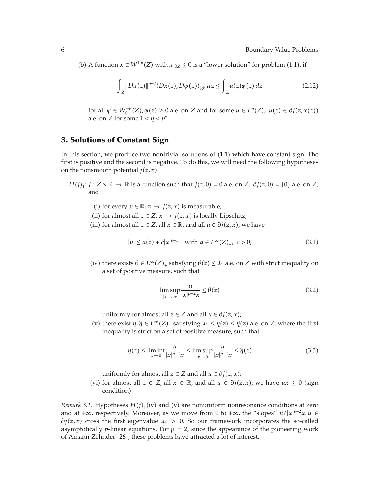(b) A function  $\underline{x}$  ∈  $W^{1,p}(Z)$  with  $\underline{x}|_{\partial Z}$  ≤ 0 is a "lower solution" for problem (1.1), if

$$
\int_{Z} \|D\underline{x}(z)\|^{p-2} (D\underline{x}(z), D\psi(z))_{\mathbb{R}^{\mathbb{N}}} dz \le \int_{Z} u(z)\psi(z) dz \tag{2.12}
$$

for all  $\psi \in W_0^{1,p}(Z), \psi(z) \ge 0$  a.e. on *Z* and for some  $u \in L^{\eta}(Z), u(z) \in \partial j(z, \underline{x}(z))$ a.e. on *Z* for some  $1 < \eta < p^*$ .

# **3. Solutions of Constant Sign**

In this section, we produce two nontrivial solutions of  $(1.1)$  which have constant sign. The first is positive and the second is negative. To do this, we will need the following hypotheses on the nonsmooth potential  $j(z, x)$ .

- *H*(*j*)<sub>1</sub>: *j* : *Z* × ℝ → ℝ is a function such that *j*(*z,* 0) = 0 a.e. on *Z, ∂j*(*z,* 0) = {0} a.e. on *Z*, and
	- (i) for every *x* ∈ ℝ, *z* → *j*(*z*, *x*) is measurable;
	- (ii) for almost all  $z \in Z$ ,  $x \to j(z, x)$  is locally Lipschitz;
	- (iii) for almost all  $z \in Z$ , all  $x \in \mathbb{R}$ , and all  $u \in \partial j(z, x)$ , we have

$$
|u| \le a(z) + c|x|^{p-1} \quad \text{with } a \in L^{\infty}(Z)_{+}, \ c > 0; \tag{3.1}
$$

(iv) there exists  $\theta \in L^{\infty}(Z)_+$  satisfying  $\theta(z) \leq \lambda_1$  a.e. on *Z* with strict inequality on a set of positive measure, such that

$$
\limsup_{|x| \to \infty} \frac{u}{|x|^{p-2}x} \le \theta(z)
$$
\n(3.2)

uniformly for almost all  $z \in Z$  and all  $u \in \partial j(z, x)$ ;

(v) there exist  $\eta, \hat{\eta} \in L^{\infty}(Z)$ , satisfying  $\lambda_1 \leq \eta(z) \leq \hat{\eta}(z)$  a.e. on *Z*, where the first inequality is strict on a set of positive measure, such that inequality is strict on a set of positive measure, such that

$$
\eta(z) \le \liminf_{x \to 0} \frac{u}{|x|^{p-2}x} \le \limsup_{x \to 0} \frac{u}{|x|^{p-2}x} \le \hat{\eta}(z)
$$
\n(3.3)

uniformly for almost all  $z \in Z$  and all  $u \in \partial j(z, x)$ ;

(vi) for almost all *z* ∈ *Z*, all *x* ∈ ℝ, and all *u* ∈  $\partial j(z, x)$ , we have *ux* ≥ 0 (sign condition).

*Remark 3.1.* Hypotheses  $H(j)$ <sub>1</sub>(iv) and (v) are nonuniform nonresonance conditions at zero and at  $\pm \infty$ , respectively. Moreover, as we move from 0 to  $\pm \infty$ , the "slopes" *u*/|*x*|<sup>*p*-2</sup>*x*. *u* ∈  $\partial j(z, x)$  cross the first eigenvalue  $\lambda_1 > 0$ . So our framework incorporates the so-called asymptotically *p*-linear equations. For  $p = 2$ , since the appearance of the pioneering work of Amann-Zehnder [26], these problems have attracted a lot of interest.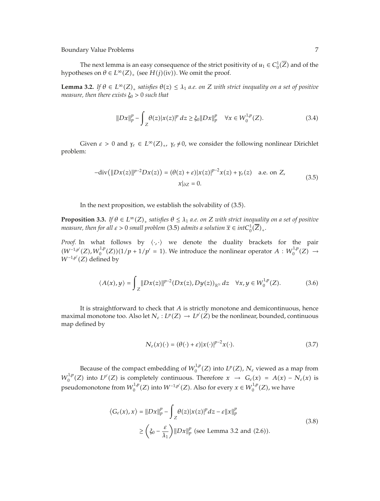The next lemma is an easy consequence of the strict positivity of  $u_1 \in C_0^1(\overline{Z})$  and of the hypotheses on  $\theta \in L^{\infty}(Z)_+$  (see  $H(j)(iv)$ ). We omit the proof.

**Lemma 3.2.** *If*  $\theta \in L^{\infty}(Z)_{+}$  *satisfies*  $\theta(z) \leq \lambda_1$  *a.e. on Z with strict inequality on a set of positive measure, then there exists ξ*<sup>0</sup> *>* 0 *such that*

$$
||Dx||_{p}^{p} - \int_{Z} \theta(z)|x(z)|^{p} dz \geq \xi_{0}||Dx||_{p}^{p} \quad \forall x \in W_{0}^{1,p}(Z). \tag{3.4}
$$

Given  $\varepsilon > 0$  and  $\gamma_{\varepsilon} \in L^{\infty}(Z)_+, \gamma_{\varepsilon} \neq 0$ , we consider the following nonlinear Dirichlet problem:

$$
-\text{div}(\|Dx(z)\|^{p-2}Dx(z)) = (\theta(z) + \varepsilon)|x(z)|^{p-2}x(z) + \gamma_{\varepsilon}(z) \quad \text{a.e. on } Z,
$$
  

$$
x|_{\partial Z} = 0.
$$
 (3.5)

In the next proposition, we establish the solvability of  $(3.5)$ .

**Proposition 3.3.** *If*  $\theta \in L^{\infty}(Z)_{+}$  *satisfies*  $\theta \leq \lambda_1$  *a.e. on Z with strict inequality on a set of positive measure, then for all*  $\varepsilon > 0$  *small problem (3.5) admits a solution*  $\overline{x} \in int C_0^1(\overline{Z})_+.$ 

*Proof.* In what follows by  $\langle \cdot, \cdot \rangle$  we denote the duality brackets for the pair  $(W^{-1,p'}(Z), W_0^{1,p}(Z))(1/p + 1/p' = 1)$ . We introduce the nonlinear operator *A* :  $W_0^{1,p}(Z)$  →  $W^{-1,p'}(Z)$  defined by

$$
\langle A(x), y \rangle = \int_Z ||Dx(z)||^{p-2} (Dx(z), Dy(z))_{\mathbb{R}^N} dz \quad \forall x, y \in W_0^{1,p}(Z). \tag{3.6}
$$

It is straightforward to check that *A* is strictly monotone and demicontinuous, hence maximal monotone too. Also let  $N_{\varepsilon}: L^p(Z) \to L^{p'}(Z)$  be the nonlinear, bounded, continuous map defined by

$$
N_{\varepsilon}(x)(\cdot) = (\theta(\cdot) + \varepsilon)|x(\cdot)|^{p-2}x(\cdot). \tag{3.7}
$$

Because of the compact embedding of  $W_0^{1,p}(Z)$  into  $L^p(Z)$ ,  $N_\varepsilon$  viewed as a map from  $W_0^{1,p}(Z)$  into  $L^{p'}(Z)$  is completely continuous. Therefore  $x \to G_{\varepsilon}(x) = A(x) - N_{\varepsilon}(x)$  is pseudomonotone from  $W_0^{1,p}(Z)$  into  $W^{-1,p'}(Z)$ . Also for every  $x \in W_0^{1,p}(Z)$ , we have

$$
\langle G_{\varepsilon}(x), x \rangle = ||Dx||_p^p - \int_Z \theta(z) |x(z)|^p dz - \varepsilon ||x||_p^p
$$
  
\n
$$
\geq \left(\xi_0 - \frac{\varepsilon}{\lambda_1}\right) ||Dx||_p^p \text{ (see Lemma 3.2 and (2.6))}.
$$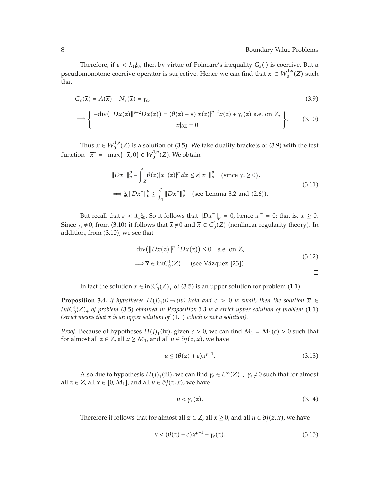Therefore, if  $\varepsilon < \lambda_1 \xi_0$ , then by virtue of Poincare's inequality  $G_{\varepsilon}(\cdot)$  is coercive. But a pseudomonotone coercive operator is surjective. Hence we can find that  $\bar{x} \in W_0^{1,p}(Z)$  such that

$$
G_{\varepsilon}(\overline{x}) = A(\overline{x}) - N_{\varepsilon}(\overline{x}) = \gamma_{\varepsilon}, \tag{3.9}
$$

$$
\implies \left\{ \begin{array}{c} -\operatorname{div}(\|D\overline{x}(z)\|^{p-2}D\overline{x}(z)) = (\theta(z) + \varepsilon)|\overline{x}(z)|^{p-2}\overline{x}(z) + \gamma_{\varepsilon}(z) \text{ a.e. on } Z, \\ \overline{x}|_{\partial Z} = 0 \end{array} \right\}.
$$
 (3.10)

Thus  $\overline{x} \in W_0^{1,p}(Z)$  is a solution of (3.5). We take duality brackets of (3.9) with the test function  $-\overline{x}$ <sup>-</sup> =  $-\max\{-\overline{x}, 0\} \in W_0^{1,p}(Z)$ . We obtain

$$
||D\overline{x}||_p^p - \int_Z \theta(z)|x^-(z)|^p dz \le \varepsilon ||\overline{x}||_p^p \quad \text{(since } \gamma_{\varepsilon} \ge 0\text{),}
$$
  

$$
\implies \xi_0 ||D\overline{x}||_p^p \le \frac{\varepsilon}{\lambda_1} ||D\overline{x}||_p^p \quad \text{(see Lemma 3.2 and (2.6))}.
$$
 (3.11)

But recall that  $\varepsilon < \lambda_1 \xi_0$ . So it follows that  $\|D\overline{x}^-\|_p = 0$ , hence  $\overline{x}^-=0$ ; that is,  $\overline{x} \ge 0$ . Since  $\gamma_{\varepsilon} \neq 0$ , from (3.10) it follows that  $\overline{x} \neq 0$  and  $\overline{x} \in C_0^1(\overline{Z})$  (nonlinear regularity theory). In addition, from (3.10), we see that

$$
\operatorname{div}(\|D\overline{x}(z)\|^{p-2}D\overline{x}(z)) \le 0 \quad \text{a.e. on } Z,
$$
  

$$
\implies \overline{x} \in \operatorname{int}C_0^1(\overline{Z})_+ \quad \text{(see Vázquez [23]).}
$$
  

$$
\square
$$

In fact the solution  $\bar{x} \in \text{int}C_0^1(\bar{Z})_+$  of (3.5) is an upper solution for problem (1.1).

**Proposition 3.4.** *If hypotheses*  $H(j)_1(i) \rightarrow (iv)$  *hold and*  $\varepsilon > 0$  *is small, then the solution*  $\overline{x} \in$  $intC_0^1(\overline{Z})_+$  of problem (3.5) obtained in Proposition 3.3 is a strict upper solution of problem (1.1) (strict means that  $\bar{x}$  is an upper solution of  $(1.1)$  which is not a solution).

*Proof.* Because of hypotheses  $H(j)$ <sub>1</sub> (iv), given  $\varepsilon > 0$ , we can find  $M_1 = M_1(\varepsilon) > 0$  such that for almost all  $z \in Z$ , all  $x \ge M_1$ , and all  $u \in \partial j(z, x)$ , we have

$$
u \le (\theta(z) + \varepsilon)x^{p-1}.\tag{3.13}
$$

Also due to hypothesis  $H(j)$ <sub>1</sub>(iii), we can find  $\gamma_{\varepsilon} \in L^{\infty}(Z)$ <sub>+</sub>,  $\gamma_{\varepsilon} \neq 0$  such that for almost all  $z \in Z$ , all  $x \in [0, M_1]$ , and all  $u \in \partial j(z, x)$ , we have

$$
u < \gamma_{\varepsilon}(z). \tag{3.14}
$$

Therefore it follows that for almost all  $z \in Z$ , all  $x \ge 0$ , and all  $u \in \partial j(z, x)$ , we have

$$
u < (\theta(z) + \varepsilon)x^{p-1} + \gamma_{\varepsilon}(z). \tag{3.15}
$$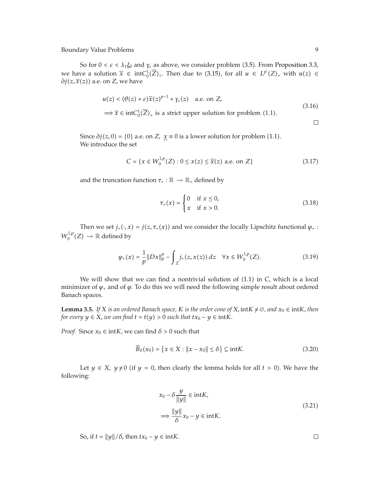So for  $0 < \varepsilon < \lambda_1 \xi_0$  and  $\gamma_{\varepsilon}$  as above, we consider problem (3.5). From Proposition 3.3, we have a solution  $\bar{x} \in \text{int}C_0^1(\bar{Z})_+$ . Then due to (3.15), for all  $u \in L^{p'}(Z)_+$  with  $u(z) \in$ *∂j*(*z*,  $\overline{x}(z)$ ) a.e. on *Z,* we have

$$
u(z) < (\theta(z) + \varepsilon)\overline{x}(z)^{p-1} + \gamma_{\varepsilon}(z) \quad \text{a.e. on } Z,
$$
\n
$$
\implies \overline{x} \in \text{int}C_0^1(\overline{Z})_+ \text{ is a strict upper solution for problem (1.1).}\tag{3.16}
$$

Since  $\partial j(z,0) = \{0\}$  a.e. on *Z*,  $\underline{x} \equiv 0$  is a lower solution for problem (1.1). We introduce the set

$$
C = \{x \in W_0^{1,p}(Z) : 0 \le x(z) \le \overline{x}(z) \text{ a.e. on } Z\}
$$
 (3.17)

and the truncation function  $\tau_+ : \mathbb{R} \to \mathbb{R}_+$  defined by

$$
\tau_{+}(x) = \begin{cases} 0 & \text{if } x \le 0, \\ x & \text{if } x > 0. \end{cases}
$$
 (3.18)

Then we set  $j_+ (\cdot, x) = j(z, \tau_+(x))$  and we consider the locally Lipschitz functional  $\varphi_+$ :  $W_0^{1,p}(Z) \to \mathbb{R}$  defined by

$$
\varphi_{+}(x) = \frac{1}{p} \|Dx\|_{p}^{p} - \int_{Z} j_{+}(z, x(z)) dz \quad \forall x \in W_{0}^{1, p}(Z). \tag{3.19}
$$

We will show that we can find a nontrivial solution of  $(1.1)$  in *C*, which is a local minimizer of  $\varphi$ <sub>+</sub> and of  $\varphi$ . To do this we will need the following simple result about ordered Banach spaces.

**Lemma 3.5.** *If X is an ordered Banach space, K is the order cone of X*,  $intK \neq \emptyset$ , and  $x_0 \in intK$ , then *for every*  $y \in X$ *, we can find*  $t = t(y) > 0$  *such that*  $tx_0 - y \in intK$ .

*Proof.* Since  $x_0 \in \text{int}K$ , we can find  $\delta > 0$  such that

$$
\overline{B}_{\delta}(x_0) = \{x \in X : ||x - x_0|| \le \delta\} \subseteq \text{int}K. \tag{3.20}
$$

Let *y*  $\in$  *X*, *y*  $\neq$  0 (if *y* = 0, then clearly the lemma holds for all *t* > 0). We have the following:

$$
x_0 - \delta \frac{y}{\|y\|} \in \text{int}K,
$$
  

$$
\implies \frac{\|y\|}{\delta} x_0 - y \in \text{int}K.
$$
 (3.21)

So, if  $t = ||y|| / \delta$ , then  $tx_0 - y \in \text{int}K$ .

 $\Box$ 

 $\Box$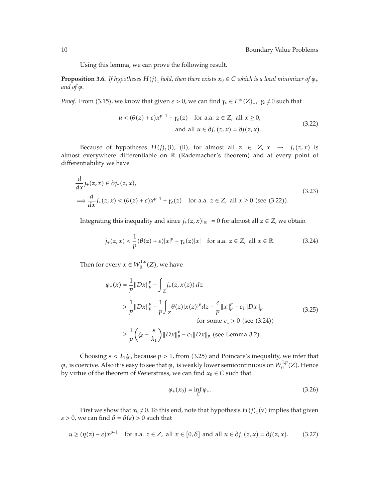Using this lemma, we can prove the following result.

**Proposition 3.6.** *If hypotheses*  $H(j)$ <sub>1</sub> *hold, then there exists*  $x_0 \in C$  *which is a local minimizer of*  $\varphi$ <sub>+</sub> *and of*  $\varphi$ *.* 

*Proof.* From (3.15), we know that given  $\varepsilon > 0$ , we can find  $\gamma_{\varepsilon} \in L^{\infty}(Z)_{+}$ ,  $\gamma_{\varepsilon} \neq 0$  such that

$$
u < (\theta(z) + \varepsilon)x^{p-1} + \gamma_{\varepsilon}(z) \quad \text{for a.a. } z \in Z, \text{ all } x \ge 0,
$$
  
and all  $u \in \partial j_{+}(z, x) = \partial j(z, x).$  (3.22)

Because of hypotheses  $H(j)_1$ (i), (ii), for almost all  $z \in Z$ ,  $x \rightarrow j_+(z,x)$  is almost everywhere differentiable on R (Rademacher's theorem) and at every point of differentiability we have

$$
\frac{d}{dx}j_{+}(z,x) \in \partial j_{+}(z,x),
$$
\n
$$
\implies \frac{d}{dx}j_{+}(z,x) < (\theta(z) + \varepsilon)x^{p-1} + \gamma_{\varepsilon}(z) \quad \text{for a.a. } z \in Z, \text{ all } x \ge 0 \text{ (see (3.22))}.
$$
\n(3.23)

Integrating this inequality and since  $j_{+}(z,x)|_{\mathbb{R}_-} = 0$  for almost all  $z \in Z$ , we obtain

$$
j_{+}(z,x) < \frac{1}{p}(\theta(z) + \varepsilon)|x|^{p} + \gamma_{\varepsilon}(z)|x| \quad \text{for a.a. } z \in \mathbb{Z}, \text{ all } x \in \mathbb{R}.\tag{3.24}
$$

Then for every  $x \in W_0^{1,p}(Z)$ , we have

$$
\varphi_{+}(x) = \frac{1}{p} \|Dx\|_{p}^{p} - \int_{Z} j_{+}(z, x(z)) dz
$$
\n
$$
> \frac{1}{p} \|Dx\|_{p}^{p} - \frac{1}{p} \int_{Z} \theta(z) |x(z)|^{p} dz - \frac{\varepsilon}{p} \|x\|_{p}^{p} - c_{1} \|Dx\|_{p}
$$
\n
$$
\text{for some } c_{1} > 0 \text{ (see (3.24))}
$$
\n
$$
\geq \frac{1}{p} \left( \xi_{0} - \frac{\varepsilon}{\lambda_{1}} \right) \|Dx\|_{p}^{p} - c_{1} \|Dx\|_{p} \text{ (see Lemma 3.2)}.
$$
\n
$$
(3.25)
$$

Choosing  $\varepsilon < \lambda_1 \xi_0$ , because  $p > 1$ , from (3.25) and Poincare's inequality, we infer that  $\varphi_+$  is coercive. Also it is easy to see that  $\varphi_+$  is weakly lower semicontinuous on  $W_0^{1,p}(Z)$ . Hence by virtue of the theorem of Weierstrass, we can find  $x_0 \in C$  such that

$$
\varphi_{+}(x_0) = \inf_{C} \varphi_{+}.
$$
\n(3.26)

First we show that  $x_0 \neq 0$ . To this end, note that hypothesis  $H(j)_1(v)$  implies that given *ε* > 0, we can find  $\delta = \delta(\varepsilon) > 0$  such that

$$
u \ge (\eta(z) - \varepsilon)x^{p-1} \quad \text{for a.a. } z \in Z, \text{ all } x \in [0, \delta] \text{ and all } u \in \partial j_+(z, x) = \partial j(z, x). \tag{3.27}
$$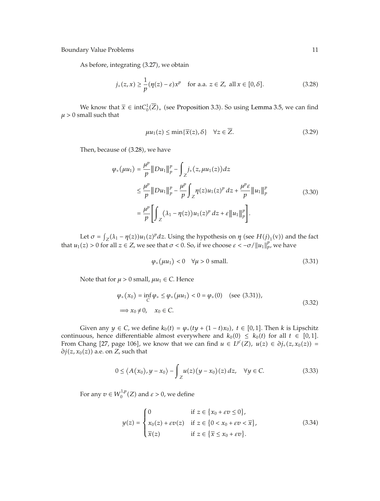As before, integrating (3.27), we obtain

$$
j_{+}(z,x) \ge \frac{1}{p}(\eta(z) - \varepsilon)x^{p} \quad \text{for a.a. } z \in Z, \text{ all } x \in [0,\delta].
$$
 (3.28)

We know that  $\bar{x} \in \text{int}C_0^1(\bar{Z})_+$  (see Proposition 3.3). So using Lemma 3.5, we can find  $\mu > 0$  small such that

$$
\mu u_1(z) \le \min\{\overline{x}(z), \delta\} \quad \forall z \in \overline{Z}.\tag{3.29}
$$

Then, because of (3.28), we have

$$
\varphi_{+}(\mu u_{1}) = \frac{\mu^{p}}{p} \|Du_{1}\|_{p}^{p} - \int_{Z} j_{+}(z, \mu u_{1}(z)) dz
$$
  
\n
$$
\leq \frac{\mu^{p}}{p} \|Du_{1}\|_{p}^{p} - \frac{\mu^{p}}{p} \int_{Z} \eta(z) u_{1}(z)^{p} dz + \frac{\mu^{p} \varepsilon}{p} \|u_{1}\|_{p}^{p}
$$
  
\n
$$
= \frac{\mu^{p}}{p} \left[ \int_{Z} (\lambda_{1} - \eta(z)) u_{1}(z)^{p} dz + \varepsilon \|u_{1}\|_{p}^{p} \right].
$$
\n(3.30)

Let  $\sigma = \int_Z (\lambda_1 - \eta(z)) u_1(z)^p dz$ . Using the hypothesis on  $\eta$  (see  $H(j)_1(v)$ ) and the fact that  $u_1(z) > 0$  for all  $z \in Z$ , we see that  $\sigma < 0$ . So, if we choose  $\varepsilon < -\sigma / ||u_1||^p_p$ , we have

$$
\varphi_+(\mu u_1) < 0 \quad \forall \mu > 0 \text{ small.} \tag{3.31}
$$

Note that for  $\mu > 0$  small,  $\mu u_1 \in C$ . Hence

$$
\varphi_{+}(x_{0}) = \inf_{C} \varphi_{+} \leq \varphi_{+}(\mu u_{1}) < 0 = \varphi_{+}(0) \quad (\text{see (3.31)}),
$$
  

$$
\implies x_{0} \neq 0, \quad x_{0} \in C.
$$
 (3.32)

Given any *y*  $\in$  *C*, we define  $k_0(t) = \varphi_+(ty + (1-t)x_0)$ ,  $t \in [0,1]$ . Then *k* is Lipschitz continuous, hence differentiable almost everywhere and  $k_0(0) \leq k_0(t)$  for all  $t \in [0,1]$ . From Chang [27, page 106], we know that we can find  $u \in L^{p'}(Z)$ ,  $u(z) \in \partial j_+(z, x_0(z)) =$  $\partial j(z, x_0(z))$  a.e. on *Z*, such that

$$
0 \le \langle A(x_0), y - x_0 \rangle - \int_Z u(z) (y - x_0)(z) dz, \quad \forall y \in C.
$$
 (3.33)

For any  $v \in W_0^{1,p}(Z)$  and  $\varepsilon > 0$ , we define

$$
y(z) = \begin{cases} 0 & \text{if } z \in \{x_0 + \varepsilon v \le 0\}, \\ x_0(z) + \varepsilon v(z) & \text{if } z \in \{0 < x_0 + \varepsilon v < \overline{x}\}, \\ \overline{x}(z) & \text{if } z \in \{\overline{x} \le x_0 + \varepsilon v\}. \end{cases} \tag{3.34}
$$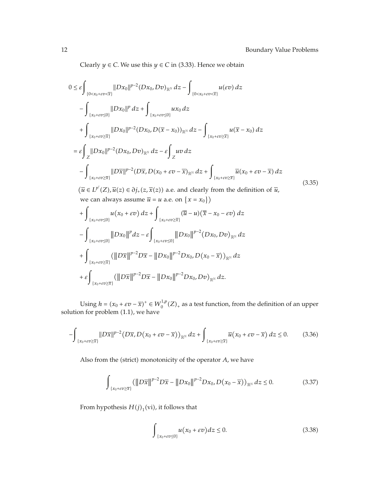Clearly  $y \in C$ . We use this  $y \in C$  in (3.33). Hence we obtain

$$
0 \leq \varepsilon \int_{\{0 < x_0 + \varepsilon v \leq \overline{x}\}} |Dx_0||^{p-2} (Dx_0, Dv)_{\mathbb{R}^{\mathbb{N}}} dz - \int_{\{0 < x_0 + \varepsilon v \leq \overline{x}\}} u(\varepsilon v) dz
$$
  
\n
$$
- \int_{\{x_0 + \varepsilon v \leq 0\}} |Dx_0||^p dz + \int_{\{x_0 + \varepsilon v \leq 0\}} u x_0 dz
$$
  
\n
$$
+ \int_{\{x_0 + \varepsilon v \geq \overline{x}\}} |Dx_0||^{p-2} (Dx_0, D(\overline{x} - x_0))_{\mathbb{R}^{\mathbb{N}}} dz - \int_{\{x_0 + \varepsilon v \geq \overline{x}\}} u(\overline{x} - x_0) dz
$$
  
\n
$$
= \varepsilon \int_{Z} |Dx_0||^{p-2} (Dx_0, Dv)_{\mathbb{R}^{\mathbb{N}}} dz - \varepsilon \int_{Z} u v dz
$$
  
\n
$$
- \int_{\{x_0 + \varepsilon v \geq \overline{x}\}} |D\overline{x}|^{p-2} (D\overline{x}, D(x_0 + \varepsilon v - \overline{x})_{\mathbb{R}^{\mathbb{N}}} dz + \int_{\{x_0 + \varepsilon v \geq \overline{x}\}} \overline{u}(x_0 + \varepsilon v - \overline{x}) dz
$$
  
\n
$$
(\overline{u} \in L^{p'}(Z), \overline{u}(z) \in \partial_{J_+}(z, \overline{x}(z)) \text{ a.e. and clearly from the definition of } \overline{u},
$$
  
\nwe can always assume  $\overline{u} = u$  a.e. on  $\{x = x_0\}$ )  
\n
$$
+ \int_{\{x_0 + \varepsilon v \leq 0\}} u(x_0 + \varepsilon v) dz + \int_{\{x_0 + \varepsilon v \geq \overline{x}\}} (\overline{u} - u)(\overline{x} - x_0 - \varepsilon v) dz
$$
  
\n
$$
- \int_{\{x_0 + \varepsilon v \leq \overline{x}\}} (||Dx_0||^p dz - \varepsilon \int_{\{x_0 + \varepsilon
$$

Using  $h = (x_0 + \varepsilon v - \overline{x})^+ \in W_0^{1,p}(Z)_+$  as a test function, from the definition of an upper solution for problem  $(1.1)$ , we have

$$
-\int_{\{x_0+\varepsilon v\geq \overline{x}\}} \|D\overline{x}\|^{p-2} \left(D\overline{x}, D(x_0+\varepsilon v-\overline{x})\right)_{\mathbb{R}^{\mathbb{N}}} dz + \int_{\{x_0+\varepsilon v\geq \overline{x}\}} \overline{u}\left(x_0+\varepsilon v-\overline{x}\right) dz \leq 0. \tag{3.36}
$$

Also from the (strict) monotonicity of the operator *A*, we have

$$
\int_{\{x_0+\varepsilon v \geq \overline{x}\}} \left( \left\| D\overline{x} \right\|^{p-2} D\overline{x} - \left\| Dx_0 \right\|^{p-2} Dx_0, D(x_0 - \overline{x}) \right)_{\mathbb{R}^N} dz \leq 0. \tag{3.37}
$$

From hypothesis  $H(j)_1$ (vi), it follows that

$$
\int_{\{x_0+\varepsilon v \le 0\}} u(x_0+\varepsilon v) dz \le 0.
$$
\n(3.38)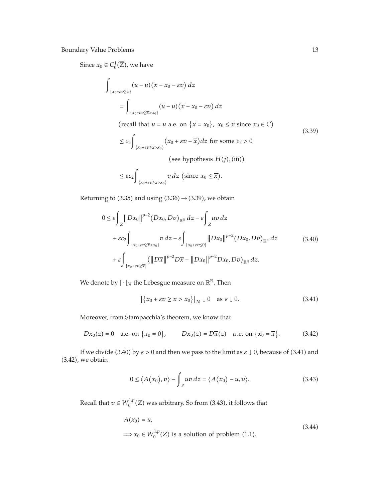Since  $x_0 \in C_0^1(\overline{Z})$ , we have

$$
\int_{\{x_0 + \varepsilon v \ge \overline{x}\}} (\overline{u} - u) (\overline{x} - x_0 - \varepsilon v) dz
$$
\n
$$
= \int_{\{x_0 + \varepsilon v \ge \overline{x} > x_0\}} (\overline{u} - u) (\overline{x} - x_0 - \varepsilon v) dz
$$
\n(recall that  $\overline{u} = u$  a.e. on  $\{\overline{x} = x_0\}$ ,  $x_0 \le \overline{x}$  since  $x_0 \in C$ )\n(3.28)

$$
\leq c_2 \int_{\{x_0 + \varepsilon v \geq \overline{x} > x_0\}} (x_0 + \varepsilon v - \overline{x}) dz \text{ for some } c_2 > 0
$$
\n
$$
\text{(see hypothesis } H(j)_1 \text{(iii)})
$$
\n
$$
\leq \varepsilon c_2 \int_{\{x_0 + \varepsilon v \geq \overline{x} \} \cdot \overline{x}} v \, dz \text{ (since } x_0 \leq \overline{x}).
$$
\n(3.39)

Returning to (3.35) and using  $(3.36) \rightarrow (3.39)$ , we obtain

 $\{x_0 + \varepsilon v \geq \overline{x} > x_0\}$ 

$$
0 \leq \varepsilon \int_{Z} ||Dx_{0}||^{p-2} (Dx_{0}, Dv)_{\mathbb{R}^{N}} dz - \varepsilon \int_{Z} uv dz
$$
  
+  $\varepsilon c_{2} \int_{\{x_{0}+\varepsilon v \geq \overline{x} > x_{0}\}} v dz - \varepsilon \int_{\{x_{0}+\varepsilon v \leq 0\}} ||Dx_{0}||^{p-2} (Dx_{0}, Dv)_{\mathbb{R}^{N}} dz$  (3.40)  
+  $\varepsilon \int_{\{x_{0}+\varepsilon v \geq \overline{x}\}} (||D\overline{x}||^{p-2} D\overline{x} - ||Dx_{0}||^{p-2} Dx_{0}, Dv)_{\mathbb{R}^{N}} dz.$ 

We denote by  $|\cdot|_N$  the Lebesgue measure on  $\mathbb{R}^{\mathbb{N}}$ . Then

$$
\left| \left\{ x_0 + \varepsilon v \ge \overline{x} > x_0 \right\} \right|_N \downarrow 0 \quad \text{as } \varepsilon \downarrow 0. \tag{3.41}
$$

Moreover, from Stampacchia's theorem, we know that

$$
Dx_0(z) = 0
$$
 a.e. on  $\{x_0 = 0\}$ ,  $Dx_0(z) = D\overline{x}(z)$  a.e. on  $\{x_0 = \overline{x}\}$ . (3.42)

If we divide (3.40) by  $\varepsilon > 0$  and then we pass to the limit as  $\varepsilon \downarrow 0$ , because of (3.41) and  $(3.42)$ , we obtain

$$
0 \le \langle A(x_0), v \rangle - \int_Z uv \, dz = \langle A(x_0) - u, v \rangle. \tag{3.43}
$$

Recall that  $v \in W_0^{1,p}(Z)$  was arbitrary. So from (3.43), it follows that

$$
A(x_0) = u,
$$
  
\n
$$
\implies x_0 \in W_0^{1,p}(Z) \text{ is a solution of problem (1.1).}
$$
\n(3.44)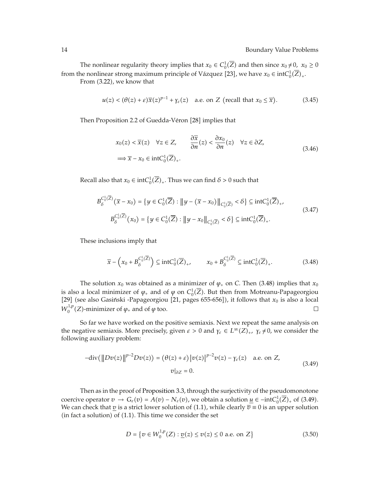The nonlinear regularity theory implies that  $x_0 \in C_0^1(\overline{Z})$  and then since  $x_0 \neq 0$ ,  $x_0 \geq 0$ from the nonlinear strong maximum principle of Vázquez [23], we have  $x_0 \in \text{int}C_0^1(\overline{Z})_+$ . From (3.22), we know that

$$
u(z) < (\theta(z) + \varepsilon) \overline{x}(z)^{p-1} + \gamma_{\varepsilon}(z) \quad \text{a.e. on } Z \text{ (recall that } x_0 \le \overline{x}\text{).}
$$
 (3.45)

Then Proposition 2.2 of Guedda-Véron [28] implies that

$$
x_0(z) < \overline{x}(z) \quad \forall z \in Z, \qquad \frac{\partial \overline{x}}{\partial n}(z) < \frac{\partial x_0}{\partial n}(z) \quad \forall z \in \partial Z, \\
\implies \overline{x} - x_0 \in \text{int}C_0^1(\overline{Z})_+.\n\tag{3.46}
$$

Recall also that  $x_0 \in \text{int}C_0^1(\overline{Z})_+$ . Thus we can find  $\delta > 0$  such that

$$
B_{\delta}^{C_{0}^{1}(\overline{Z})}(\overline{x} - x_{0}) = \{ y \in C_{0}^{1}(\overline{Z}) : ||y - (\overline{x} - x_{0})||_{C_{0}^{1}(\overline{Z})} < \delta \} \subseteq \text{int}C_{0}^{1}(\overline{Z})_{+},
$$
  
\n
$$
B_{\delta}^{C_{0}^{1}(\overline{Z})}(x_{0}) = \{ y \in C_{0}^{1}(\overline{Z}) : ||y - x_{0}||_{C_{0}^{1}(\overline{Z})} < \delta \} \subseteq \text{int}C_{0}^{1}(\overline{Z})_{+}.
$$
\n(3.47)

These inclusions imply that

$$
\overline{x} - \left(x_0 + B_{\delta}^{C_0^1(\overline{Z})}\right) \subseteq \text{int}C_0^1(\overline{Z})_+, \qquad x_0 + B_{\delta}^{C_0^1(\overline{Z})} \subseteq \text{int}C_0^1(\overline{Z})_+.
$$
 (3.48)

The solution  $x_0$  was obtained as a minimizer of  $\varphi$  on *C*. Then (3.48) implies that  $x_0$ is also a local minimizer of  $\varphi$ <sub>+</sub> and of  $\varphi$  on  $C_0^1(\overline{Z})$ . But then from Motreanu-Papageorgiou [29] (see also Gasiński -Papageorgiou [21, pages 655-656]), it follows that  $x_0$  is also a local  $W_0^{1,p}(Z)$ -minimizer of  $\varphi_+$  and of  $\varphi$  too.  $\Box$ 

So far we have worked on the positive semiaxis. Next we repeat the same analysis on the negative semiaxis. More precisely, given  $\varepsilon > 0$  and  $\gamma_{\varepsilon} \in L^{\infty}(Z)_{+}$ ,  $\gamma_{\varepsilon} \neq 0$ , we consider the following auxiliary problem:

$$
-div(\|Dv(z)\|^{p-2}Dv(z)) = (\theta(z) + \varepsilon)|v(z)|^{p-2}v(z) - \gamma_{\varepsilon}(z) \quad \text{a.e. on } Z,
$$
  
\n
$$
v|_{\partial Z} = 0.
$$
\n(3.49)

Then as in the proof of Proposition 3.3, through the surjectivity of the pseudomonotone coercive operator  $v \to G_{\varepsilon}(v) = A(v) - N_{\varepsilon}(v)$ , we obtain a solution  $\underline{u} \in -intC_0^1(\overline{Z})_+$  of (3.49). We can check that  $\underline{v}$  is a strict lower solution of  $(1.1)$ , while clearly  $\overline{v} \equiv 0$  is an upper solution  $(in fact a solution)$  of  $(1.1)$ . This time we consider the set

$$
D = \{ v \in W_0^{1,p}(Z) : \underline{v}(z) \le v(z) \le 0 \text{ a.e. on } Z \}
$$
 (3.50)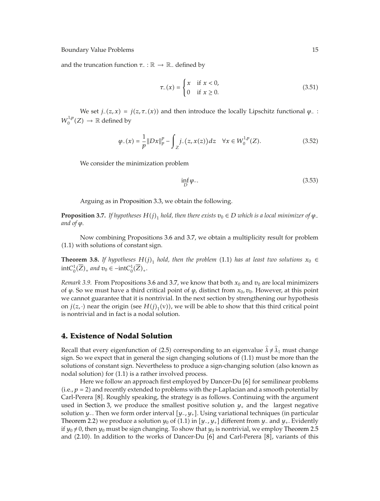and the truncation function *<sup>τ</sup>*<sup>−</sup> : <sup>R</sup> <sup>→</sup> <sup>R</sup><sup>−</sup> defined by

$$
\tau_{-}(x) = \begin{cases} x & \text{if } x < 0, \\ 0 & \text{if } x \ge 0. \end{cases}
$$
 (3.51)

We set *j*<sub>−</sub>( $z$ ,  $x$ ) = *j*( $z$ ,  $\tau$ −( $x$ )) and then introduce the locally Lipschitz functional  $\varphi$ <sup>−</sup> :  $W_0^{1,p}(Z) \to \mathbb{R}$  defined by

$$
\varphi_{-}(x) = \frac{1}{p} \|Dx\|_{p}^{p} - \int_{Z} j_{-}(z, x(z)) dz \quad \forall x \in W_{0}^{1, p}(Z). \tag{3.52}
$$

We consider the minimization problem

$$
\inf_D \varphi \tag{3.53}
$$

Arguing as in Proposition 3.3, we obtain the following.

**Proposition 3.7.** *If hypotheses*  $H(j)$ <sub>1</sub> *hold, then there exists*  $v_0 \in D$  *which is a local minimizer of*  $\varphi$ <sub>-</sub> *and of*  $\varphi$ .

Now combining Propositions 3.6 and 3.7, we obtain a multiplicity result for problem -1.1 with solutions of constant sign.

**Theorem 3.8.** If hypotheses  $H(j)_1$  hold, then the problem (1.1) has at least two solutions  $x_0 \in$  $intC_0^1(\overline{Z})_+$  *and*  $v_0 \in -intC_0^1(\overline{Z})_+.$ 

*Remark 3.9.* From Propositions 3.6 and 3.7, we know that both  $x_0$  and  $v_0$  are local minimizers of *ϕ.* So we must have a third critical point of *ϕ,* distinct from *x*0*, v*0*.* However, at this point we cannot guarantee that it is nontrivial. In the next section by strengthening our hypothesis on  $j(z, \cdot)$  near the origin (see  $H(j)_1(v)$ ), we will be able to show that this third critical point is nontrivial and in fact is a nodal solution.

## **4. Existence of Nodal Solution**

Recall that every eigenfunction of (2.5) corresponding to an eigenvalue  $\hat{\lambda} \neq \hat{\lambda}_1$  must change sign. So we expect that in general the sign changing solutions of  $(1.1)$  must be more than the solutions of constant sign. Nevertheless to produce a sign-changing solution (also known as nodal solution) for (1.1) is a rather involved process.

Here we follow an approach first employed by Dancer-Du [6] for semilinear problems (i.e.,  $p = 2$ ) and recently extended to problems with the  $p$ -Laplacian and a smooth potential by Carl-Perera [8]. Roughly speaking, the strategy is as follows. Continuing with the argument used in Section 3, we produce the smallest positive solution  $y_+$  and the largest negative solution *y*<sub>−</sub>. Then we form order interval [*y*<sub>−</sub>*, y*<sub>+</sub>]. Using variational techniques (in particular Theorem 2.2) we produce a solution  $y_0$  of  $(1.1)$  in  $[y_-, y_+]$  different from  $y_-$  and  $y_+$ . Evidently if  $y_0 \neq 0$ , then  $y_0$  must be sign changing. To show that  $y_0$  is nontrivial, we employ Theorem 2.5 and (2.10). In addition to the works of Dancer-Du [6] and Carl-Perera [8], variants of this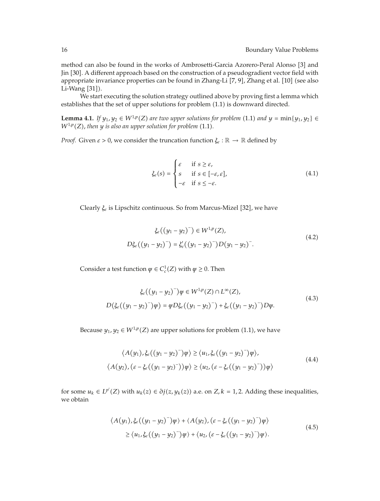method can also be found in the works of Ambrosetti-Garcia Azorero-Peral Alonso [3] and Jin [30]. A different approach based on the construction of a pseudogradient vector field with appropriate invariance properties can be found in Zhang-Li [7, 9], Zhang et al. [10] (see also Li-Wang  $[31]$ .

We start executing the solution strategy outlined above by proving first a lemma which establishes that the set of upper solutions for problem (1.1) is downward directed.

**Lemma 4.1.** *If*  $y_1, y_2 \in W^{1,p}(Z)$  are two upper solutions for problem (1.1) and  $y = \min\{y_1, y_2\} \in$  $W^{1,p}(Z)$ , then  $y$  is also an upper solution for problem  $(1.1)$ .

*Proof.* Given  $\varepsilon > 0$ , we consider the truncation function  $\xi_{\varepsilon} : \mathbb{R} \to \mathbb{R}$  defined by

$$
\xi_{\varepsilon}(s) = \begin{cases}\n\varepsilon & \text{if } s \ge \varepsilon, \\
s & \text{if } s \in [-\varepsilon, \varepsilon], \\
-\varepsilon & \text{if } s \le -\varepsilon.\n\end{cases}
$$
\n(4.1)

Clearly  $\xi$ <sub>ε</sub> is Lipschitz continuous. So from Marcus-Mizel [32], we have

$$
\xi_{\varepsilon}((y_1 - y_2)^{-}) \in W^{1,p}(Z),
$$
  

$$
D\xi_{\varepsilon}((y_1 - y_2)^{-}) = \xi'_{\varepsilon}((y_1 - y_2)^{-})D(y_1 - y_2)^{-}.
$$
 (4.2)

Consider a test function  $\psi \in C_c^1(Z)$  with  $\psi \geq 0$ . Then

$$
\xi_{\varepsilon}((y_1 - y_2)^{-})\psi \in W^{1,p}(Z) \cap L^{\infty}(Z),
$$
  

$$
D(\xi_{\varepsilon}((y_1 - y_2)^{-})\psi) = \psi D\xi_{\varepsilon}((y_1 - y_2)^{-}) + \xi_{\varepsilon}((y_1 - y_2)^{-})D\psi.
$$
 (4.3)

Because  $y_1, y_2 \in W^{1,p}(Z)$  are upper solutions for problem  $(1.1)$ , we have

$$
\langle A(y_1), \xi_{\varepsilon}((y_1 - y_2)^{-})\psi \rangle \ge \langle u_1, \xi_{\varepsilon}((y_1 - y_2)^{-})\psi \rangle,
$$
  

$$
\langle A(y_2), (\varepsilon - \xi_{\varepsilon}((y_1 - y_2)^{-}))\psi \rangle \ge \langle u_2, (\varepsilon - \xi_{\varepsilon}((y_1 - y_2)^{-}))\psi \rangle
$$
 (4.4)

for some  $u_k \in L^{p'}(Z)$  with  $u_k(z) \in \partial j(z, y_k(z))$  a.e. on  $Z, k = 1, 2$ . Adding these inequalities, we obtain

$$
\langle A(y_1), \xi_{\varepsilon}((y_1 - y_2)^{-})\psi \rangle + \langle A(y_2), (\varepsilon - \xi_{\varepsilon}((y_1 - y_2)^{-})\psi \rangle
$$
  
\n
$$
\geq \langle u_1, \xi_{\varepsilon}((y_1 - y_2)^{-})\psi \rangle + \langle u_2, (\varepsilon - \xi_{\varepsilon}((y_1 - y_2)^{-})\psi \rangle.
$$
\n(4.5)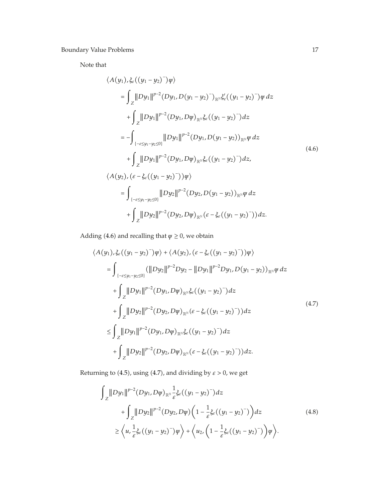Note that

$$
\langle A(y_1), \xi_{\varepsilon}((y_1 - y_2)^{-})\varphi \rangle
$$
\n
$$
= \int_{Z} ||Dy_1||^{p-2} (Dy_1, D(y_1 - y_2)^{-})_{\mathbb{R}^{\mathbb{N}}} \xi'_{\varepsilon}((y_1 - y_2)^{-})\varphi dz
$$
\n
$$
+ \int_{Z} ||Dy_1||^{p-2} (Dy_1, D\varphi)_{\mathbb{R}^{\mathbb{N}}} \xi_{\varepsilon}((y_1 - y_2)^{-}) dz
$$
\n
$$
= - \int_{\{-\varepsilon \le y_1 - y_2 \le 0\}} ||Dy_1||^{p-2} (Dy_1, D(y_1 - y_2))_{\mathbb{R}^{\mathbb{N}}} \varphi dz
$$
\n
$$
+ \int_{Z} ||Dy_1||^{p-2} (Dy_1, D\varphi)_{\mathbb{R}^{\mathbb{N}}} \xi_{\varepsilon}((y_1 - y_2)^{-}) dz,
$$
\n
$$
\langle A(y_2), (\varepsilon - \xi_{\varepsilon}((y_1 - y_2)^{-}))\varphi \rangle
$$
\n
$$
= \int_{\{-\varepsilon \le y_1 - y_2 \le 0\}} ||Dy_2||^{p-2} (Dy_2, D(y_1 - y_2))_{\mathbb{R}^{\mathbb{N}}} \varphi dz
$$
\n
$$
+ \int_{Z} ||Dy_2||^{p-2} (Dy_2, D\varphi)_{\mathbb{R}^{\mathbb{N}}} (\varepsilon - \xi_{\varepsilon}((y_1 - y_2)^{-})) dz.
$$
\n(4.6)

Adding (4.6) and recalling that  $\psi \geq 0$ , we obtain

$$
\langle A(y_1), \xi_{\varepsilon}((y_1 - y_2)^{-})\varphi \rangle + \langle A(y_2), (\varepsilon - \xi_{\varepsilon}((y_1 - y_2)^{-}))\varphi \rangle
$$
  
\n=
$$
\int_{\{-\varepsilon \le y_1 - y_2 \le 0\}} (||Dy_2||^{p-2}Dy_2 - ||Dy_1||^{p-2}Dy_1, D(y_1 - y_2))_{\mathbb{R}^N} \varphi dz
$$
  
\n
$$
+ \int_{Z} ||Dy_1||^{p-2} (Dy_1, D\varphi)_{\mathbb{R}^N} \xi_{\varepsilon}((y_1 - y_2)^{-}) dz
$$
  
\n
$$
+ \int_{Z} ||Dy_2||^{p-2} (Dy_2, D\varphi)_{\mathbb{R}^N} (\varepsilon - \xi_{\varepsilon}((y_1 - y_2)^{-})) dz
$$
  
\n
$$
\leq \int_{Z} ||Dy_1||^{p-2} (Dy_1, D\varphi)_{\mathbb{R}^N} \xi_{\varepsilon}((y_1 - y_2)^{-}) dz
$$
  
\n
$$
+ \int_{Z} ||Dy_2||^{p-2} (Dy_2, D\varphi)_{\mathbb{R}^N} (\varepsilon - \xi_{\varepsilon}((y_1 - y_2)^{-})) dz.
$$
\n(4.7)

Returning to  $(4.5)$ , using  $(4.7)$ , and dividing by  $\varepsilon > 0$ , we get

$$
\int_{Z} ||Dy_{1}||^{p-2} (Dy_{1}, D\varphi)_{\mathbb{R}^{N}} \frac{1}{\varepsilon} \xi_{\varepsilon} ((y_{1} - y_{2})^{-}) dz \n+ \int_{Z} ||Dy_{2}||^{p-2} (Dy_{2}, D\varphi) \left( 1 - \frac{1}{\varepsilon} \xi_{\varepsilon} ((y_{1} - y_{2})^{-}) \right) dz
$$
\n
$$
\geq \left\langle u, \frac{1}{\varepsilon} \xi_{\varepsilon} ((y_{1} - y_{2})^{-}) \varphi \right\rangle + \left\langle u_{2}, \left( 1 - \frac{1}{\varepsilon} \xi_{\varepsilon} ((y_{1} - y_{2})^{-}) \right) \varphi \right\rangle.
$$
\n(4.8)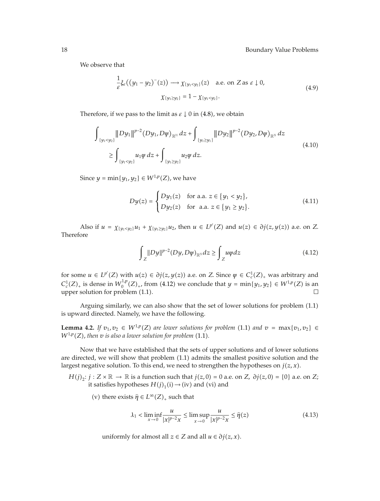We observe that

$$
\frac{1}{\varepsilon}\xi_{\varepsilon}\big(\big(y_1 - y_2\big)^{-}(z)\big) \longrightarrow \chi_{\{y_1 < y_2\}}(z) \quad \text{a.e. on } Z \text{ as } \varepsilon \downarrow 0,
$$
\n
$$
\chi_{\{y_1 \ge y_2\}} = 1 - \chi_{\{y_1 < y_2\}}.\tag{4.9}
$$

Therefore, if we pass to the limit as  $\varepsilon \downarrow 0$  in  $(4.8)$ , we obtain

$$
\int_{\{y_1 < y_2\}} \|Dy_1\|^{p-2} (Dy_1, D\varphi)_{\mathbb{R}^N} dz + \int_{\{y_1 \ge y_1\}} \|Dy_2\|^{p-2} (Dy_2, D\varphi)_{\mathbb{R}^N} dz
$$
\n
$$
\ge \int_{\{y_1 < y_2\}} u_1 \varphi dz + \int_{\{y_1 \ge y_2\}} u_2 \varphi dz.
$$
\n
$$
(4.10)
$$

Since  $y = \min\{y_1, y_2\} \in W^{1,p}(Z)$ , we have

$$
Dy(z) = \begin{cases} Dy_1(z) & \text{for a.a. } z \in \{y_1 < y_2\}, \\ Dy_2(z) & \text{for a.a. } z \in \{y_1 \ge y_2\}. \end{cases} \tag{4.11}
$$

Also if  $u = \chi_{\{y_1 < y_2\}} u_1 + \chi_{\{y_1 \ge y_2\}} u_2$ , then  $u \in L^{p'}(Z)$  and  $u(z) \in \partial j(z, y(z))$  a.e. on *Z*. Therefore

$$
\int_{Z} \|Dy\|^{p-2} (Dy, D\varphi)_{\mathbb{R}^{\mathbb{N}}} dz \ge \int_{Z} u\varphi dz \tag{4.12}
$$

for some  $u \in L^{p'}(Z)$  with  $u(z) \in \partial j(z, y(z))$  a.e. on *Z*. Since  $\psi \in C_c^1(Z)_+$  was arbitrary and  $C_c^1(Z)_+$  is dense in  $W_0^{1,p}(Z)_+$ , from (4.12) we conclude that  $y = \min\{y_1, y_2\} \in W^{1,p}(Z)$  is an  $\Box$ upper solution for problem  $(1.1)$ .

Arguing similarly, we can also show that the set of lower solutions for problem  $(1.1)$ is upward directed. Namely, we have the following.

**Lemma 4.2.** *If*  $v_1, v_2 \in W^{1,p}(Z)$  *are lower solutions for problem* (1.1) *and*  $v = \max\{v_1, v_2\} \in$  $W^{1,p}(Z)$ , then  $v$  is also a lower solution for problem  $(1.1)$ .

Now that we have established that the sets of upper solutions and of lower solutions are directed, we will show that problem  $(1.1)$  admits the smallest positive solution and the largest negative solution. To this end, we need to strengthen the hypotheses on  $j(z, x)$ .

*H*(*j*)<sub>2</sub>: *j* : *Z* × ℝ → ℝ is a function such that *j*(*z,* 0) = 0 a.e. on *Z, ∂j*(*z,* 0) = {0} a.e. on *Z*; it satisfies hypotheses  $H(j)_1(i) \rightarrow (iv)$  and (vi) and

(v) there exists  $\hat{\eta} \in L^{\infty}(Z)_{+}$  such that

$$
\lambda_1 < \liminf_{x \to 0} \frac{u}{|x|^{p-2}x} \le \limsup_{x \to 0} \frac{u}{|x|^{p-2}x} \le \hat{\eta}(z) \tag{4.13}
$$

uniformly for almost all  $z \in Z$  and all  $u \in \partial j(z, x)$ .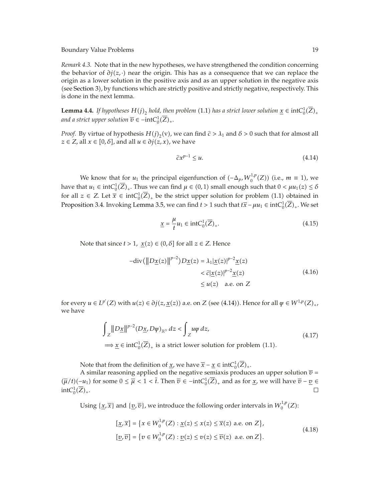*Remark 4.3.* Note that in the new hypotheses, we have strengthened the condition concerning the behavior of  $\partial j(z, ⋅)$  near the origin. This has as a consequence that we can replace the origin as a lower solution in the positive axis and as an upper solution in the negative axis (see Section 3), by functions which are strictly positive and strictly negative, respectively. This is done in the next lemma.

**Lemma 4.4.** If hypotheses  $H(j)_2$  hold, then problem (1.1) has a strict lower solution  $\underline{x} \in \text{int}C_0^1(\overline{Z})_+$ *and a strict upper solution*  $\overline{v} \in -intC_0^1(\overline{Z})_+$ .

*Proof.* By virtue of hypothesis  $H(j)_2$ (v), we can find  $\hat{c} > \lambda_1$  and  $\delta > 0$  such that for almost all  $\tilde{c} \in \mathbb{Z}$  all  $x \in [0, \delta]$  and all  $y \in \tilde{a}$  *i*( $z \ge x$ ) we have  $z \in Z$ , all  $x \in [0, \delta]$ , and all  $u \in \partial j(z, x)$ , we have

$$
\hat{c}x^{p-1} \le u. \tag{4.14}
$$

We know that for  $u_1$  the principal eigenfunction of  $(-\Delta_p, W_0^{1,p}(Z))$  (i.e.,  $m \equiv 1$ ), we have that  $u_1 \in \text{int}C_0^1(\overline{Z})_+$ . Thus we can find  $\mu \in (0,1)$  small enough such that  $0 < \mu u_1(z) \le \delta$ for all  $z \in Z$ . Let  $\overline{x} \in \text{int}C_0^1(\overline{Z})_+$  be the strict upper solution for problem  $(1.1)$  obtained in Proposition 3.4. Invoking Lemma 3.5, we can find  $t > 1$  such that  $t\overline{x} - \mu u_1 \in \text{int}C_0^1(\overline{Z})_+$ . We set

$$
\underline{x} = \frac{\mu}{t} u_1 \in \text{int}C_0^1(\overline{Z})_+.
$$
\n(4.15)

Note that since  $t > 1$ ,  $\underline{x}(z) \in (0, \delta]$  for all  $z \in \mathbb{Z}$ . Hence

$$
-\text{div}(\|D\underline{x}(z)\|^{p-2})D\underline{x}(z) = \lambda_1 |\underline{x}(z)|^{p-2} \underline{x}(z)
$$
  

$$
< \widehat{c} |\underline{x}(z)|^{p-2} \underline{x}(z)
$$
  

$$
\leq u(z) \quad \text{a.e. on } Z
$$
 (4.16)

for every  $u \in L^{p'}(Z)$  with  $u(z) \in \partial j(z, \underline{x}(z))$  a.e. on *Z* (see (4.14)). Hence for all  $\psi \in W^{1,p}(Z)_+$ , we have

$$
\int_{Z} ||D\underline{x}||^{p-2} (D\underline{x}, D\psi)_{\mathbb{R}^{\mathbb{N}}} dz < \int_{Z} u\psi dz,
$$
\n
$$
\implies \underline{x} \in \text{int}C_{0}^{1}(\overline{Z})_{+} \text{ is a strict lower solution for problem (1.1).}
$$
\n(4.17)

Note that from the definition of <u>*x*</u>, we have  $\overline{x} - \underline{x} \in \text{int}C_0^1(\overline{Z})_+$ .

A similar reasoning applied on the negative semiaxis produces an upper solution  $\bar{v}$  =  $(\overline{\mu}/t)(\underline{-u_1})$  for some  $0 \le \overline{\mu} < 1 < \overline{t}$ . Then  $\overline{v} \in -int C_0^1(\overline{Z})_+$  and as for <u>*x*</u>, we will have  $\overline{v} - \underline{v} \in$  $intC_0^1(\overline{Z})_+.$ 

Using  $\{\underline{x}, \overline{x}\}$  and  $\{\underline{v}, \overline{v}\}$ , we introduce the following order intervals in  $W_0^{1,p}(Z)$ :

$$
[\underline{x}, \overline{x}] = \{x \in W_0^{1,p}(Z) : \underline{x}(z) \le x(z) \le \overline{x}(z) \text{ a.e. on } Z\},
$$
  

$$
[\underline{v}, \overline{v}] = \{v \in W_0^{1,p}(Z) : \underline{v}(z) \le v(z) \le \overline{v}(z) \text{ a.e. on } Z\}.
$$
 (4.18)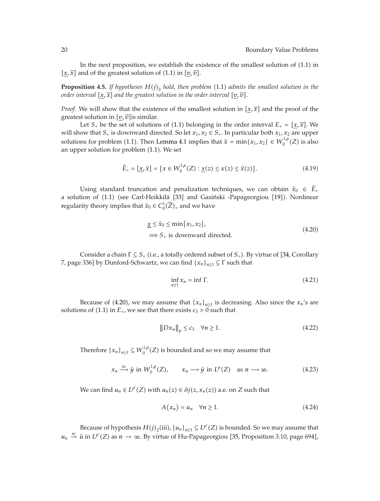In the next proposition, we establish the existence of the smallest solution of  $(1.1)$  in  $[x, \overline{x}]$  and of the greatest solution of (1.1) in  $[\underline{v}, \overline{v}]$ .

**Proposition 4.5.** If hypotheses  $H(j)_2$  hold, then problem (1.1) admits the smallest solution in the *order interval*  $[x, \overline{x}]$  *and the greatest solution in the order interval*  $[v, \overline{v}]$ *.* 

*Proof.* We will show that the existence of the smallest solution in  $[x, \overline{x}]$  and the proof of the greatest solution in  $[v, \overline{v}]$  is similar.

Let  $S_+$  be the set of solutions of (1.1) belonging in the order interval  $E_+ = [\underline{x}, \overline{x}]$ . We will show that  $S_+$  is downward directed. So let  $x_1, x_2 \in S_+$ . In particular both  $x_1, x_2$  are upper solutions for problem (1.1). Then Lemma 4.1 implies that  $\hat{x} = \min\{x_1, x_2\} \in W_0^{1,p}(Z)$  is also<br>an upper solution for problem (1.1). We set an upper solution for problem (1.1). We set

$$
\widehat{E}_{+} = [\underline{x}, \widehat{x}] = \{ x \in W_0^{1, p}(Z) : \underline{x}(z) \le x(z) \le \widehat{x}(z) \}.
$$
 (4.19)

Using standard truncation and penalization techniques, we can obtain  $\hat{x}_0 \in \hat{E}_+$ a solution of (1.1) (see Carl-Heikkilä [33] and Gasiński -Papageorgiou [19]). Nonlinear regularity theory implies that  $\widehat{x}_0 \in C_0^1(\overline{Z})_+$  and we have

$$
\underline{x} \le \hat{x}_0 \le \min\{x_1, x_2\},
$$
  
\n
$$
\implies S_+
$$
 is downward directed. (4.20)

Consider a chain  $\Gamma \subseteq S_+$  (i.e., a totally ordered subset of  $S_+$ ). By virtue of [34, Corollary *7*, page 336] by Dunford-Schwartz, we can find  $\{x_n\}_{n\geq 1} \subseteq \Gamma$  such that

$$
\inf_{n\geq 1} x_n = \inf \Gamma. \tag{4.21}
$$

Because of (4.20), we may assume that  ${x_n}_{n \geq 1}$  is decreasing. Also since the  $x_n$ 's are solutions of (1.1) in  $E_+$ , we see that there exists  $c_3 > 0$  such that

$$
||Dx_n||_p \le c_3 \quad \forall n \ge 1. \tag{4.22}
$$

Therefore  $\{x_n\}_{n\geq 1} \subseteq W_0^{1,p}(Z)$  is bounded and so we may assume that

$$
x_n \xrightarrow{w} \hat{y} \text{ in } W_0^{1,p}(Z), \qquad x_n \longrightarrow \hat{y} \text{ in } L^p(Z) \quad \text{as } n \longrightarrow \infty. \tag{4.23}
$$

We can find  $u_n \in L^{p'}(Z)$  with  $u_n(z) \in \partial j(z, x_n(z))$  a.e. on *Z* such that

$$
A(x_n) = u_n \quad \forall n \ge 1. \tag{4.24}
$$

Because of hypothesis  $H(j)_2$ (iii),  $\{u_n\}_{n\geq 1} \subseteq L^{p'}(Z)$  is bounded. So we may assume that *u<sub>n</sub>*  $\stackrel{w}{\rightarrow}$   $\hat{u}$  in *L<sup>p'</sup>*(*Z*) as *n* → ∞*.* By virtue of Hu-Papageorgiou [35, Proposition 3.10, page 694],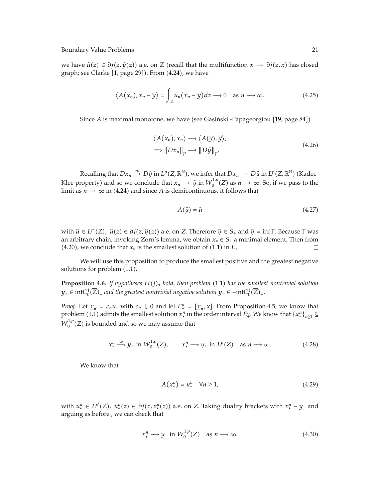we have  $\hat{u}(z) \in \partial j(z, \hat{y}(z))$  a.e. on *Z* (recall that the multifunction  $x \to \partial j(z, x)$  has closed graph; see Clarke [1, page 29]). From (4.24), we have

$$
\langle A(x_n), x_n - \hat{y} \rangle = \int_Z u_n (x_n - \hat{y}) dz \longrightarrow 0 \quad \text{as } n \longrightarrow \infty.
$$
 (4.25)

Since A is maximal monotone, we have (see Gasiński -Papageorgiou [19, page 84])

$$
\langle A(x_n), x_n \rangle \longrightarrow \langle A(\hat{y}), \hat{y} \rangle,
$$
  
\n
$$
\Longrightarrow ||Dx_n||_p \longrightarrow ||D\hat{y}||_p.
$$
\n(4.26)

Recalling that  $Dx_n \stackrel{w}{\to} D\hat{y}$  in  $L^p(Z,\mathbb{R}^N)$ , we infer that  $Dx_n \to D\hat{y}$  in  $L^p(Z,\mathbb{R}^N)$  (Kadec-Klee property) and so we conclude that  $x_n \to \hat{y}$  in  $W_0^{1,p}(Z)$  as  $n \to \infty$ . So, if we pass to the limit as  $n \to \infty$  in (4.24) and since *A* is demicontinuous, it follows that

$$
A(\hat{y}) = \hat{u} \tag{4.27}
$$

with  $\hat{u} \in L^{p'}(Z)$ ,  $\hat{u}(z) \in \partial j(z, \hat{y}(z))$  a.e. on *Z*. Therefore  $\hat{y} \in S_+$  and  $\hat{y} = \inf \Gamma$ . Because  $\Gamma$  was an arbitrary chain, invoking Zorn's lemma, we obtain  $x_* \in S_+$  a minimal element. Then from (4.20), we conclude that  $x_*$  is the smallest solution of (1.1) in  $E_+$ . □ (4.20), we conclude that  $x_*$  is the smallest solution of (1.1) in  $E_+$ .

We will use this proposition to produce the smallest positive and the greatest negative solutions for problem  $(1.1)$ .

**Proposition 4.6.** If hypotheses  $H(j)_2$  hold, then problem (1.1) has the smallest nontrivial solution *y*<sub>+</sub> ∈ intC<sup>1</sup><sub>0</sub>( $\overline{Z}$ )<sub>+</sub> and the greatest nontrivial negative solution  $y$ <sub>−</sub> ∈ −intC<sup>1</sup><sub>0</sub>( $\overline{Z}$ )<sub>+</sub>.

*Proof.* Let  $\underline{x}_n = \varepsilon_n u_1$  with  $\varepsilon_n \downarrow 0$  and let  $E^n_+ = [\underline{x}_n, \overline{x}]$ . From Proposition 4.5, we know that problem  $(1.1)$  admits the smallest solution  $x^n_*$  in the order interval  $E^n_+$ . We know that  $\{x^n_*\}_{n\geq 1}$  $W_0^{1,p}(Z)$  is bounded and so we may assume that

$$
x_*^n \xrightarrow{w} y_+ \text{ in } W_0^{1,p}(Z), \qquad x_*^n \longrightarrow y_+ \text{ in } L^p(Z) \quad \text{as } n \longrightarrow \infty. \tag{4.28}
$$

We know that

$$
A(x^n_*) = u^n_* \quad \forall n \ge 1,
$$
\n
$$
(4.29)
$$

with  $u_*^n \in L^{p'}(Z)$ ,  $u_*^n(z) \in \partial j(z, x_*^n(z))$  a.e. on *Z*. Taking duality brackets with  $x_*^n - y_+$  and arguing as before , we can check that

$$
x_*^n \longrightarrow y_+ \text{ in } W_0^{1,p}(Z) \quad \text{as } n \longrightarrow \infty. \tag{4.30}
$$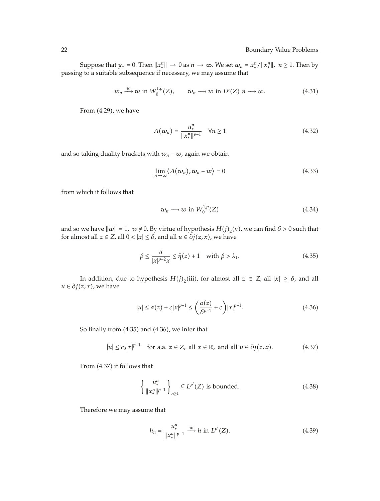Suppose that  $y_+ = 0$ . Then  $||x_*^n|| \to 0$  as  $n \to \infty$ . We set  $w_n = x_*^n / ||x_*^n||$ ,  $n \ge 1$ . Then by passing to a suitable subsequence if necessary, we may assume that

$$
w_n \xrightarrow{w} w \text{ in } W_0^{1,p}(Z), \qquad w_n \longrightarrow w \text{ in } L^p(Z) \text{ in } \longrightarrow \infty.
$$
 (4.31)

From (4.29), we have

$$
A(w_n) = \frac{u_*^n}{\|x_*^n\|^{p-1}} \quad \forall n \ge 1
$$
\n(4.32)

and so taking duality brackets with  $w_n - w$ , again we obtain

$$
\lim_{n \to \infty} \langle A(w_n), w_n - w \rangle = 0 \tag{4.33}
$$

from which it follows that

$$
w_n \longrightarrow w \text{ in } W_0^{1,p}(Z) \tag{4.34}
$$

and so we have  $\|w\| = 1$ ,  $w \neq 0$ . By virtue of hypothesis  $H(j)_2(v)$ , we can find  $\delta > 0$  such that for almost all  $z \in Z$ , all  $0 < |x| \le \delta$ , and all  $u \in \partial j(z, x)$ , we have

$$
\beta \le \frac{u}{|x|^{p-2}x} \le \hat{\eta}(z) + 1 \quad \text{with } \beta > \lambda_1. \tag{4.35}
$$

In addition, due to hypothesis  $H(j)_2$ <sup>(iii)</sup>, for almost all  $z \in Z$ , all  $|x| \ge \delta$ , and all  $u ∈ ∂j(z, x)$ , we have

$$
|u| \le \alpha(z) + c|x|^{p-1} \le \left(\frac{\alpha(z)}{\delta^{p-1}} + c\right)|x|^{p-1}.\tag{4.36}
$$

So finally from (4.35) and (4.36), we infer that

$$
|u| \le c_3 |x|^{p-1} \quad \text{for a.a. } z \in Z, \text{ all } x \in \mathbb{R}, \text{ and all } u \in \partial j(z, x). \tag{4.37}
$$

From (4.37) it follows that

$$
\left\{\frac{u^n_*}{\|x^n_*\|^{p-1}}\right\}_{n\geq 1} \subseteq L^{p'}(Z) \text{ is bounded.}
$$
\n(4.38)

Therefore we may assume that

$$
h_n = \frac{u_*^n}{\|x_*^n\|^{p-1}} \xrightarrow{w} h \text{ in } L^{p'}(Z). \tag{4.39}
$$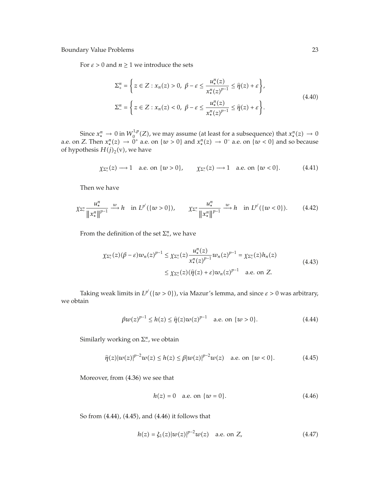For  $\varepsilon > 0$  and  $n \ge 1$  we introduce the sets

$$
\Sigma_{+}^{n} = \left\{ z \in Z : x_{n}(z) > 0, \ \beta - \varepsilon \le \frac{u_{*}^{n}(z)}{x_{*}^{n}(z)^{p-1}} \le \hat{\eta}(z) + \varepsilon \right\},\
$$
\n
$$
\Sigma_{-}^{n} = \left\{ z \in Z : x_{n}(z) < 0, \ \beta - \varepsilon \le \frac{u_{*}^{n}(z)}{x_{*}^{n}(z)^{p-1}} \le \hat{\eta}(z) + \varepsilon \right\}.
$$
\n(4.40)

Since  $x_*^n \to 0$  in  $W_0^{1,p}(Z)$ , we may assume (at least for a subsequence) that  $x_*^n(z) \to 0$ a.e. on *Z*. Then  $x_*^n(z) \to 0^+$  a.e. on  $\{w > 0\}$  and  $x_*^n(z) \to 0^-$  a.e. on  $\{w < 0\}$  and so because of hypothesis  $H(j)_2$ <sup>(v)</sup>, we have

$$
\chi_{\Sigma_+^n}(z) \longrightarrow 1 \quad \text{a.e. on } \{w > 0\}, \qquad \chi_{\Sigma_-^n}(z) \longrightarrow 1 \quad \text{a.e. on } \{w < 0\}. \tag{4.41}
$$

Then we have

$$
\chi_{\Sigma_{+}^{n}} \frac{u_{*}^{n}}{\|x_{*}^{n}\|^{p-1}} \xrightarrow{w} h \quad \text{in } L^{p'}(\{w > 0\}), \qquad \chi_{\Sigma_{-}^{n}} \frac{u_{*}^{n}}{\|x_{*}^{n}\|^{p-1}} \xrightarrow{w} h \quad \text{in } L^{p'}(\{w < 0\}). \tag{4.42}
$$

From the definition of the set  $\Sigma_{+}^n$ , we have

$$
\chi_{\Sigma_{+}^{n}}(z)(\beta - \varepsilon)w_{n}(z)^{p-1} \leq \chi_{\Sigma_{+}^{n}}(z) \frac{u_{*}^{n}(z)}{x_{*}^{n}(z)^{p-1}} w_{n}(z)^{p-1} = \chi_{\Sigma_{+}^{n}}(z)h_{n}(z)
$$
\n
$$
\leq \chi_{\Sigma_{+}^{n}}(z)(\hat{\eta}(z) + \varepsilon)w_{n}(z)^{p-1} \quad \text{a.e. on } Z.
$$
\n(4.43)

Taking weak limits in  $L^{p'}(\{w > 0\})$ , via Mazur's lemma, and since  $\varepsilon > 0$  was arbitrary, we obtain

$$
\beta w(z)^{p-1} \le h(z) \le \hat{\eta}(z)w(z)^{p-1} \quad \text{a.e. on } \{w > 0\}. \tag{4.44}
$$

Similarly working on  $\Sigma^n_{-}$ , we obtain

$$
\hat{\eta}(z)|w(z)|^{p-2}w(z) \le h(z) \le \beta|w(z)|^{p-2}w(z) \quad \text{a.e. on } \{w < 0\}. \tag{4.45}
$$

Moreover, from (4.36) we see that

$$
h(z) = 0
$$
 a.e. on  $\{w = 0\}$ . (4.46)

So from (4.44), (4.45), and (4.46) it follows that

$$
h(z) = \xi_1(z)|w(z)|^{p-2}w(z) \quad \text{a.e. on } Z,
$$
 (4.47)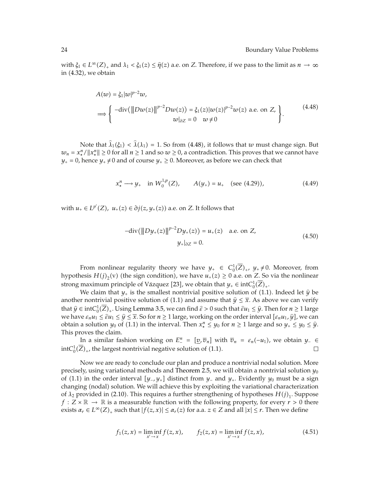with  $\xi_1 \in L^\infty(Z)_+$  and  $\lambda_1 < \xi_1(z) \leq \hat{\eta}(z)$  a.e. on *Z*. Therefore, if we pass to the limit as  $n \to \infty$ <br>in (4.32), we obtain in (4.32), we obtain

$$
A(w) = \xi_1 |w|^{p-2} w,
$$
  
\n
$$
\implies \begin{cases}\n-\text{div}(\|Dw(z)\|^{p-2}Dw(z)) = \xi_1(z)|w(z)|^{p-2}w(z) \text{ a.e. on } Z, \\
w|_{\partial Z} = 0 \quad w \neq 0\n\end{cases}
$$
\n(4.48)

Note that  $\hat{\lambda}_1(\xi_1) < \hat{\lambda}(\lambda_1) = 1$ . So from (4.48), it follows that *w* must change sign. But  $w_n = x_*^n / \|x_*^n\| \ge 0$  for all  $n \ge 1$  and so  $w \ge 0$ , a contradiction. This proves that we cannot have  $y_+ = 0$ , hence  $y_+ \neq 0$  and of course  $y_+ \geq 0$ . Moreover, as before we can check that

$$
x_*^n \longrightarrow y_+ \quad \text{in } W_0^{1,p}(Z), \qquad A(y_+) = u_+ \quad \text{(see (4.29))}, \tag{4.49}
$$

with  $u_+ \in L^{p'}(Z)$ ,  $u_+(z) \in \partial j(z, y_+(z))$  a.e. on *Z*. It follows that

$$
-div(\|Dy_+(z)\|^{p-2}Dy_+(z)) = u_+(z) \quad \text{a.e. on } Z,
$$
  

$$
y_+|_{\partial Z} = 0.
$$
 (4.50)

From nonlinear regularity theory we have  $y_+ \in C_0^1(\overline{Z})_+$ ,  $y_+ \neq 0$ . Moreover, from hypothesis  $H(j)_2(v)$  (the sign condition), we have  $u_+(z) \ge 0$  a.e. on *Z*. So via the nonlinear strong maximum principle of Vázquez [23], we obtain that  $y_+ \in \text{int}C_0^1(\overline{Z})_+$ .

We claim that  $y_+$  is the smallest nontrivial positive solution of (1.1). Indeed let  $\hat{y}$  be reportivial positive solution of (1.1) and assume that  $\hat{y} \in \mathbb{R}$ . As above we can verify another nontrivial positive solution of (1.1) and assume that  $\hat{y} \leq \overline{x}$ . As above we can verify that  $\hat{y} \in \text{int}C_0^1(\overline{Z})_+$ . Using Lemma 3.5, we can find  $\hat{\varepsilon} > 0$  such that  $\hat{\varepsilon}u_1 \leq \hat{y}$ . Then for  $n \geq 1$  large<br>*zuo have*  $\varepsilon, u_1 \leq \hat{u} \leq \hat{y} \leq \overline{\tilde{x}}$ *.* So for  $n > 1$  large, working on the ord we have  $\varepsilon_n u_1 \leq \hat{u}_1 \leq \hat{y} \leq \overline{x}$ . So for  $n \geq 1$  large, working on the order interval  $[\varepsilon_n u_1, \hat{y}]$ , we can obtain a solution *y*<sub>0</sub> of (1.1) in the interval. Then  $x_*^n \leq y_0$  for  $n \geq 1$  large and so  $y_+ \leq y_0 \leq \hat{y}$ .<br>This proves the slaim This proves the claim.

*In a similar fashion working on*  $E_{-}^n = [\underline{v}, \overline{v}_n]$  *with*  $\overline{v}_n = \varepsilon_n(-u_1)$ *, we obtain <i>y*− ∈  $intC_0^1(\overline{Z})_+$ , the largest nontrivial negative solution of (1.1).  $\Box$ 

Now we are ready to conclude our plan and produce a nontrivial nodal solution. More precisely, using variational methods and Theorem 2.5, we will obtain a nontrivial solution  $y_0$ of (1.1) in the order interval *[y−, y<sub>+</sub>]* distinct from *y*<sub>−</sub> and *y*<sub>+</sub>. Evidently *y*<sub>0</sub> must be a sign changing (nodal) solution. We will achieve this by exploiting the variational characterization of  $\lambda_2$  provided in (2.10). This requires a further strengthening of hypotheses  $H(j)_1$ . Suppose *f* :  $Z \times \mathbb{R} \rightarrow \mathbb{R}$  is a measurable function with the following property, for every  $r > 0$  there exists  $\alpha_r \in L^{\infty}(Z)_+$  such that  $|f(z, x)| \leq \alpha_r(z)$  for a.a.  $z \in Z$  and all  $|x| \leq r$ . Then we define

$$
f_1(z,x) = \liminf_{x' \to x} f(z,x), \qquad f_2(z,x) = \liminf_{x' \to x} f(z,x), \tag{4.51}
$$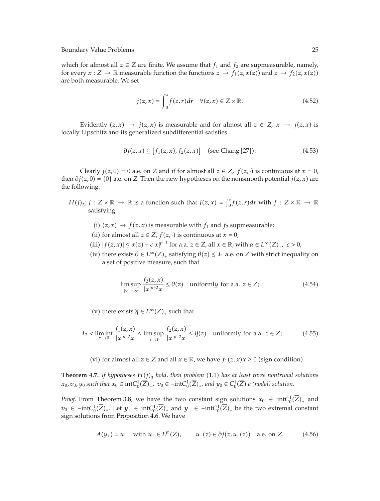which for almost all  $z \in \mathbb{Z}$  are finite. We assume that  $f_1$  and  $f_2$  are supmeasurable, namely, for every  $x : Z \to \mathbb{R}$  measurable function the functions  $z \to f_1(z, x(z))$  and  $z \to f_2(z, x(z))$ are both measurable. We set

$$
j(z,x) = \int_0^x f(z,r)dr \quad \forall (z,x) \in Z \times \mathbb{R}.
$$
 (4.52)

Evidently  $(z, x) \rightarrow j(z, x)$  is measurable and for almost all  $z \in Z$ ,  $x \rightarrow j(z, x)$  is locally Lipschitz and its generalized subdifferential satisfies

$$
\partial j(z, x) \subseteq [f_1(z, x), f_2(z, x)] \quad \text{(see Chang [27]).} \tag{4.53}
$$

Clearly  $j(z, 0) = 0$  a.e. on *Z* and if for almost all  $z \in Z$ ,  $f(z, \cdot)$  is continuous at  $x = 0$ , then  $\partial j(z,0) = \{0\}$  a.e. on *Z*. Then the new hypotheses on the nonsmooth potential  $j(z, x)$  are the following:

- $H(j)_3$ :  $j: Z \times \mathbb{R} \to \mathbb{R}$  is a function such that  $j(z, x) = \int_0^x f(z, r) dr$  with  $f: Z \times \mathbb{R} \to \mathbb{R}$ satisfying
	- (i)  $(z, x) \rightarrow f(z, x)$  is measurable with  $f_1$  and  $f_2$  supmeasurable;
	- (ii) for almost all  $z \in Z$ ,  $f(z, \cdot)$  is continuous at  $x = 0$ ;
	- (iii)  $|f(z, x)| \le \alpha(z) + c|x|^{p-1}$  for a.a.  $z \in Z$ , all  $x \in \mathbb{R}$ , with  $\alpha \in L^{\infty}(Z)_{+}$ ,  $c > 0$ ;
	- (iv) there exists  $\theta \in L^{\infty}(Z)_+$  satisfying  $\theta(z) \leq \lambda_1$  a.e. on *Z* with strict inequality on a set of positive measure, such that

$$
\limsup_{|x| \to \infty} \frac{f_2(z, x)}{|x|^{p-2}x} \le \theta(z) \quad \text{uniformly for a.a. } z \in Z; \tag{4.54}
$$

(v) there exists  $\hat{\eta} \in L^{\infty}(Z)_{+}$  such that

$$
\lambda_2 < \liminf_{x \to 0} \frac{f_1(z, x)}{|x|^{p-2}x} \le \limsup_{x \to 0} \frac{f_2(z, x)}{|x|^{p-2}x} \le \hat{\eta}(z) \quad \text{uniformly for a.a. } z \in \mathbb{Z};\tag{4.55}
$$

(vi) for almost all  $z \in Z$  and all  $x \in \mathbb{R}$ , we have  $f_1(z, x)x \ge 0$  (sign condition).

**Theorem 4.7.** If hypotheses  $H(j)$ <sub>3</sub> *hold, then problem* (1.1) *has at least three nontrivial solutions*  $x_0$ ,  $y_0$  *such that*  $x_0 \in \text{int}C_0^1(\overline{Z})_+$ ,  $v_0 \in -\text{int}C_0^1(\overline{Z})_+$ , and  $y_0 \in C_0^1(\overline{Z})$  a (nodal) solution.

*Proof.* From Theorem 3.8, we have the two constant sign solutions  $x_0 \in \text{int}C_0^1(\overline{Z})_+$  and *v*<sub>0</sub> ∈ −int $C_0^1(\overline{Z})_+$ . Let  $y_+$  ∈ int $C_0^1(\overline{Z})_+$  and  $y_-$  ∈ −int $C_0^1(\overline{Z})_+$  be the two extremal constant sign solutions from Proposition 4.6. We have

$$
A(y_{\pm}) = u_{\pm}
$$
 with  $u_{\pm} \in L^{p'}(Z)$ ,  $u_{\pm}(z) \in \partial j(z, u_{\pm}(z))$  a.e. on Z. (4.56)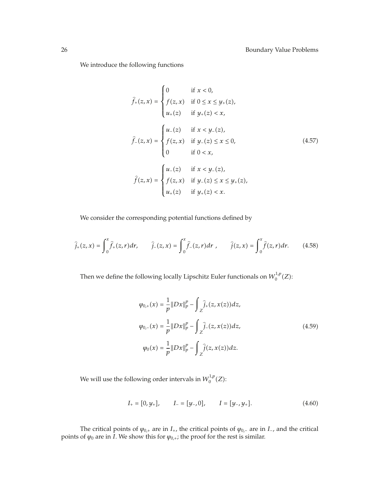We introduce the following functions

$$
\hat{f}_{+}(z,x) = \begin{cases}\n0 & \text{if } x < 0, \\
f(z,x) & \text{if } 0 \le x \le y_{+}(z), \\
u_{+}(z) & \text{if } y_{+}(z) < x,\n\end{cases}
$$
\n
$$
\hat{f}_{-}(z,x) = \begin{cases}\nu_{-}(z) & \text{if } x < y_{-}(z), \\
f(z,x) & \text{if } y_{-}(z) \le x \le 0, \\
0 & \text{if } 0 < x,\n\end{cases}
$$
\n
$$
\hat{f}(z,x) = \begin{cases}\nu_{-}(z) & \text{if } x < y_{-}(z), \\
f(z,x) & \text{if } y_{-}(z) \le x \le y_{+}(z), \\
u_{+}(z) & \text{if } y_{+}(z) < x.\n\end{cases}
$$
\n(4.57)

We consider the corresponding potential functions defined by

$$
\hat{j}_{+}(z,x) = \int_{0}^{x} \hat{f}_{+}(z,r)dr, \qquad \hat{j}_{-}(z,x) = \int_{0}^{x} \hat{f}_{-}(z,r)dr, \qquad \hat{j}(z,x) = \int_{0}^{x} \hat{f}(z,r)dr. \tag{4.58}
$$

Then we define the following locally Lipschitz Euler functionals on  $W^{1,p}_0(Z)$ :

$$
\varphi_{0,+}(x) = \frac{1}{p} \|Dx\|_p^p - \int_Z \hat{j}_+(z, x(z)) dz,
$$
  
\n
$$
\varphi_{0,-}(x) = \frac{1}{p} \|Dx\|_p^p - \int_Z \hat{j}_-(z, x(z)) dz,
$$
  
\n
$$
\varphi_0(x) = \frac{1}{p} \|Dx\|_p^p - \int_Z \hat{j}(z, x(z)) dz.
$$
\n(4.59)

We will use the following order intervals in  $W_0^{1,p}(Z)$ :

$$
I_{+} = [0, y_{+}], \qquad I_{-} = [y_{-}, 0], \qquad I = [y_{-}, y_{+}]. \tag{4.60}
$$

The critical points of  $\varphi_{0,+}$  are in *I*<sub>+</sub>, the critical points of  $\varphi_{0,-}$  are in *I*<sub>−</sub>, and the critical points of  $\varphi_0$  are in *I*. We show this for  $\varphi_{0,+}$ ; the proof for the rest is similar.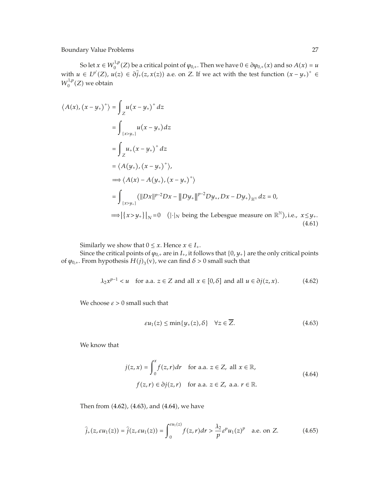So let  $x \in W_0^{1,p}(Z)$  be a critical point of  $\varphi_{0,+}$ . Then we have  $0 \in \partial \varphi_{0,+}(x)$  and so  $A(x) = u$ with  $u \in L^{p'}(Z)$ ,  $u(z) \in \partial \hat{j}_+(z,x(z))$  a.e. on *Z*. If we act with the test function  $(x - y_+)$ <sup>+</sup>  $W_0^{1,p}(Z)$  we obtain

$$
\langle A(x), (x - y_{+})^{+} \rangle = \int_{Z} u(x - y_{+})^{+} dz
$$
  
\n
$$
= \int_{\{x > y_{+}\}} u(x - y_{+}) dz
$$
  
\n
$$
= \int_{Z} u_{+}(x - y_{+})^{+} dz
$$
  
\n
$$
= \langle A(y_{+}), (x - y_{+})^{+} \rangle,
$$
  
\n
$$
\implies \langle A(x) - A(y_{+}), (x - y_{+})^{+} \rangle
$$
  
\n
$$
= \int_{\{x > y_{+}\}} (||Dx||^{p-2}Dx - ||Dy_{+}||^{p-2}Dy_{+}, Dx - Dy_{+})_{\mathbb{R}^{N}} dz = 0,
$$
  
\n
$$
\implies |\{x > y_{+}\}|_{N} = 0 \quad (|\cdot|_{N} \text{ being the Lebesgue measure on } \mathbb{R}^{N}), \text{ i.e., } x \leq y_{+}.
$$
  
\n(4.61)

Similarly we show that  $0 \leq x$ . Hence  $x \in I_+$ .

Since the critical points of  $\varphi_{0,+}$  are in  $I_+$ , it follows that  $\{0, y_+\}$  are the only critical points of  $\varphi$ <sub>0</sub>,<sup>*i*</sup>. From hypothesis  $H(j)$ <sub>3</sub>(v), we can find  $\delta > 0$  small such that

$$
\lambda_2 x^{p-1} < u \quad \text{for a.a. } z \in \mathbb{Z} \text{ and all } x \in [0, \delta] \text{ and all } u \in \partial j(z, x). \tag{4.62}
$$

We choose  $\varepsilon > 0$  small such that

$$
\varepsilon u_1(z) \le \min\{y_+(z), \delta\} \quad \forall z \in \overline{Z}.\tag{4.63}
$$

We know that

$$
j(z, x) = \int_0^x f(z, r) dr \quad \text{for a.a. } z \in Z, \text{ all } x \in \mathbb{R},
$$
  

$$
f(z, r) \in \partial j(z, r) \quad \text{for a.a. } z \in Z, \text{ a.a. } r \in \mathbb{R}.
$$
 (4.64)

Then from (4.62), (4.63), and (4.64), we have

$$
\widehat{j}_{+}(z,\varepsilon u_{1}(z))=\widehat{j}(z,\varepsilon u_{1}(z))=\int_{0}^{\varepsilon u_{1}(z)}f(z,r)dr>\frac{\lambda_{2}}{p}\varepsilon^{p}u_{1}(z)^{p} \quad \text{a.e. on } Z. \tag{4.65}
$$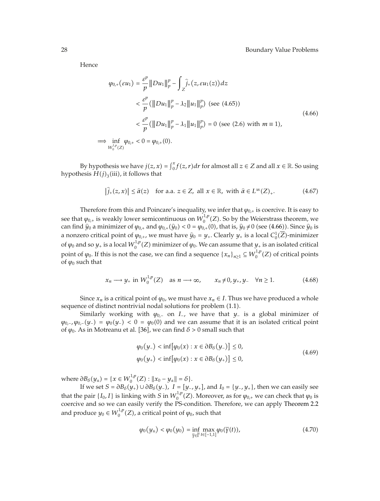Hence

 $\Rightarrow$ 

$$
\varphi_{0,+}(\varepsilon u_1) = \frac{\varepsilon^p}{p} \|Du_1\|_p^p - \int_Z \hat{j}_+(z, \varepsilon u_1(z))dz
$$
  

$$
< \frac{\varepsilon^p}{p} (\|Du_1\|_p^p - \lambda_2 \|u_1\|_p^p) \text{ (see (4.65))}
$$
  

$$
< \frac{\varepsilon^p}{p} (\|Du_1\|_p^p - \lambda_1 \|u_1\|_p^p) = 0 \text{ (see (2.6) with } m \equiv 1),
$$
  

$$
\lim_{W_0^{1,p}(Z)} \varphi_{0,+} < 0 = \varphi_{0,+}(0).
$$
 (4.66)

By hypothesis we have  $j(z, x) = \int_0^x f(z, r) dr$  for almost all  $z \in Z$  and all  $x \in \mathbb{R}$ . So using hypothesis  $\hat{H}(j)_3$ (iii), it follows that

$$
\left|\hat{j}_{+}(z,x)\right| \leq \hat{\alpha}(z) \quad \text{for a.a. } z \in Z, \text{ all } x \in \mathbb{R}, \text{ with } \hat{\alpha} \in L^{\infty}(Z)_{+}.
$$
 (4.67)

Therefore from this and Poincare's inequality, we infer that  $\varphi_{0,+}$  is coercive. It is easy to see that  $\varphi_{0,+}$  is weakly lower semicontinuous on  $W_0^{1,p}(Z)$ . So by the Weierstrass theorem, we can find  $\hat{y}_0$  a minimizer of  $\varphi_{0,+}$  and  $\varphi_{0,+}(\hat{y}_0) < 0 = \varphi_{0,+}(0)$ , that is,  $\hat{y}_0 \neq 0$  (see (4.66)). Since  $\hat{y}_0$  is a nonzero critical point of  $\varphi_{0,+}$ , we must have  $\hat{y}_0 = y_+$ . Clearly  $y_+$  is a local  $C_0^1(\overline{Z})$ -minimizer of  $\varphi_0$  and so  $y_+$  is a local  $W_0^{1,p}(Z)$  minimizer of  $\varphi_0$ . We can assume that  $y_+$  is an isolated critical point of  $\varphi_0$ . If this is not the case, we can find a sequence  $\{x_n\}_{n\geq 1} \subseteq W_0^{1,p}(Z)$  of critical points of  $\varphi_0$  such that

$$
x_n \longrightarrow y_+ \text{ in } W_0^{1,p}(Z) \quad \text{as } n \longrightarrow \infty, \qquad x_n \neq 0, y_+, y_- \quad \forall n \ge 1. \tag{4.68}
$$

Since  $x_n$  is a critical point of  $\varphi_0$ , we must have  $x_n \in I$ . Thus we have produced a whole sequence of distinct nontrivial nodal solutions for problem (1.1).

Similarly working with *<sup>ϕ</sup>*0*,*<sup>−</sup> on *<sup>I</sup>*−*,* we have that *<sup>y</sup>*<sup>−</sup> is a global minimizer of  $\varphi_{0,-}$ *,*  $\varphi_{0,-} (y_-) = \varphi_0 (y_-) < 0 = \varphi_0 (0)$  *and we can assume that it is an isolated critical point* of  $\varphi_0$ . As in Motreanu et al. [36], we can find  $\delta > 0$  small such that

$$
\varphi_0(y_-) < \inf[\varphi_0(x) : x \in \partial B_\delta(y_-)] \le 0, \n\varphi_0(y_+) < \inf[\varphi_0(x) : x \in \partial B_\delta(y_+)] \le 0,
$$
\n(4.69)

where  $\partial B_{\delta}(y_{\pm}) = \{x \in W_0^{1,p}(Z) : ||x_0 - y_{\pm}|| = \delta\}.$ 

If we set  $S = \partial B_\delta(y_+) \cup \partial B_\delta(y_-)$ ,  $I = [y_-, y_+]$ , and  $I_0 = \{y_-, y_+\}$ , then we can easily see that the pair  $\{I_0, I\}$  is linking with *S* in  $W_0^{1,p}(Z)$ . Moreover, as for  $\varphi_{0,+}$  we can check that  $\varphi_0$  is coercive and so we can easily verify the PS-condition. Therefore, we can apply Theorem 2.2 and produce  $y_0 \in W_0^{1,p}(Z)$ , a critical point of  $\varphi_0$ , such that

$$
\varphi_0(y_\pm) < \varphi_0(y_0) = \inf_{\overline{\gamma} \in \overline{\Gamma}} \max_{t \in [-1,1]} \varphi_0(\overline{\gamma}(t)),\tag{4.70}
$$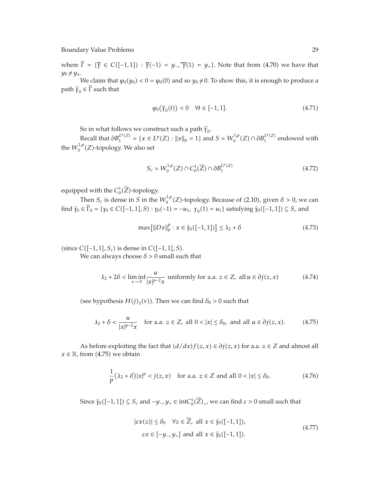where  $\overline{\Gamma} = {\overline{\gamma} \in C([-1,1]) : \overline{\gamma}(-1) = y_{-}, \overline{\gamma}(1) = y_{+}}$ . Note that from (4.70) we have that  $y_0 \neq y_{\pm}$ .

We claim that  $\varphi_0(y_0) < 0 = \varphi_0(0)$  and so  $y_0 \neq 0$ . To show this, it is enough to produce a path  $\bar{\gamma}_0 \in \bar{\Gamma}$  such that

$$
\varphi_0(\overline{\gamma}_0(t)) < 0 \quad \forall t \in [-1, 1]. \tag{4.71}
$$

So in what follows we construct such a path  $\overline{\gamma}_0$ .

*Recall that*  $\partial B_1^{L^p(Z)} = \{x \in L^p(Z) : ||x||_p = 1\}$  and  $S = W_0^{1,p}(Z) \cap \partial B_1^{L^p(Z)}$  endowed with the  $W_0^{1,p}(Z)$ -topology. We also set

$$
S_c = W_0^{1,p}(Z) \cap C_0^1(\overline{Z}) \cap \partial B_1^{L^p(Z)} \tag{4.72}
$$

equipped with the  $C_0^1(\overline{Z})$ -topology.

Then  $S_c$  is dense in *S* in the  $W_0^{1,p}(Z)$ -topology. Because of (2.10), given  $\delta > 0$ , we can  $\hat{\gamma}_0 \in \overline{\Gamma}_0 = {\gamma_0 \in C([-1, 1], S) : \gamma_0(-1) = -u_1, \gamma_0(1) = u_1}$  satisfying  $\hat{\gamma}_0([-1, 1]) \subseteq S_c$  and

$$
\max\left[\|Dx\|_p^p : x \in \widehat{\gamma}_0([-1,1])\right] \le \lambda_2 + \delta \tag{4.73}
$$

 $\text{C}([-1, 1], S_c)$  is dense in  $C([-1, 1], S)$ .

We can always choose  $\delta > 0$  small such that

$$
\lambda_2 + 2\delta < \liminf_{x \to 0} \frac{u}{|x|^{p-2}x} \text{ uniformly for a.a. } z \in Z, \text{ all } u \in \partial j(z, x) \tag{4.74}
$$

(see hypothesis  $H(j)_{3}(v)$ ). Then we can find  $\delta_0 > 0$  such that

$$
\lambda_2 + \delta < \frac{u}{|x|^{p-2}x} \quad \text{for a.a. } z \in \mathbb{Z}, \text{ all } 0 < |x| \le \delta_0 \text{, and all } u \in \partial j(z, x). \tag{4.75}
$$

As before exploiting the fact that  $(d/dx) f(z, x) \in \partial j(z, x)$  for a.a.  $z \in Z$  and almost all  $x \in \mathbb{R}$ , from (4.75) we obtain

$$
\frac{1}{p}(\lambda_2 + \delta)|x|^p < j(z, x) \quad \text{for a.a. } z \in \mathbb{Z} \text{ and all } 0 < |x| \le \delta_0. \tag{4.76}
$$

Since  $\hat{\gamma}_0([-1, 1]) \subseteq S_c$  and  $-y_-, y_+ \in \text{int}C_0^1(\overline{Z})_+$ , we can find  $\varepsilon > 0$  small such that

$$
|\varepsilon x(z)| \le \delta_0 \quad \forall z \in \overline{Z}, \text{ all } x \in \widehat{\gamma}_0([-1, 1]),
$$
  
 
$$
\varepsilon x \in [-y_-, y_+] \text{ and all } x \in \widehat{\gamma}_0([-1, 1]).
$$
 (4.77)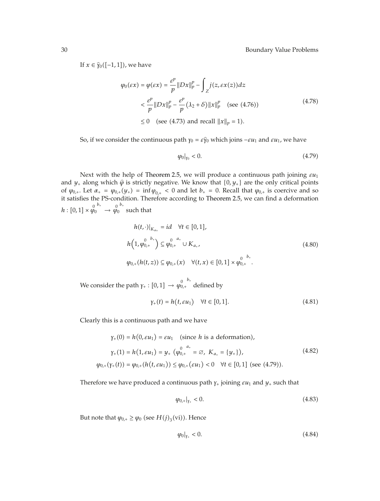If  $x \in \hat{\gamma}_0([-1, 1])$ , we have

$$
\varphi_0(\varepsilon x) = \varphi(\varepsilon x) = \frac{\varepsilon^p}{p} ||Dx||_p^p - \int_Z j(z, \varepsilon x(z)) dz
$$
  

$$
< \frac{\varepsilon^p}{p} ||Dx||_p^p - \frac{\varepsilon^p}{p} (\lambda_2 + \delta) ||x||_p^p \quad \text{(see (4.76))}
$$
  

$$
\leq 0 \quad \text{(see (4.73) and recall } ||x||_p = 1).
$$
 (4.78)

So, if we consider the continuous path  $\gamma_0 = \varepsilon \hat{\gamma}_0$  which joins  $-\varepsilon u_1$  and  $\varepsilon u_1$ , we have

$$
\left.\rho_0\right|_{\gamma_0} < 0.\tag{4.79}
$$

Next with the help of Theorem 2.5, we will produce a continuous path joining *εu*<sup>1</sup> and  $y_+$  along which  $\hat{\varphi}$  is strictly negative. We know that  $\{0, y_+\}$  are the only critical points of  $\varphi_{0,+}$ . Let  $\alpha_+ = \varphi_{0,+}(y_+) = \inf \varphi_{0,+} < 0$  and let  $b_+ = 0$ . Recall that  $\varphi_{0,+}$  is coercive and so it satisfies the PS-condition. Therefore according to Theorem 2.5, we can find a deformation  $h: [0,1] \times \varphi_0^{0 \cdot b_+} \to \varphi_0^{0 \cdot b_+}$ such that

$$
h(t, \cdot)|_{K_{\alpha_{+}}} = id \quad \forall t \in [0, 1],
$$
  
\n
$$
h\left(1, \varphi_{0,+}^{0} \right) \subseteq \varphi_{0,+}^{0} \cup K_{\alpha_{+}},
$$
  
\n
$$
\varphi_{0,+}(h(t, z)) \subseteq \varphi_{0,+}(x) \quad \forall (t, x) \in [0, 1] \times \varphi_{0,+}^{0}.
$$
  
\n(4.80)

*We* consider the path *γ*<sub>+</sub> : [0, 1] →  $\varphi_{0,+}^{0}$ <sup>*b*<sub>+</sub></sup> defined by

$$
\gamma_{+}(t) = h(t, \varepsilon u_1) \quad \forall t \in [0, 1]. \tag{4.81}
$$

Clearly this is a continuous path and we have

$$
\gamma_{+}(0) = h(0, \varepsilon u_{1}) = \varepsilon u_{1} \quad \text{(since } h \text{ is a deformation)},
$$
\n
$$
\gamma_{+}(1) = h(1, \varepsilon u_{1}) = y_{+} \left( \varphi_{0,+}^{0} \right)^{a_{+}} = \varnothing, \ K_{a_{+}} = \{y_{+}\},
$$
\n
$$
\varphi_{0,+}(\gamma_{+}(t)) = \varphi_{0,+}(h(t, \varepsilon u_{1})) \leq \varphi_{0,+}(\varepsilon u_{1}) < 0 \quad \forall t \in [0, 1] \text{ (see (4.79))}.
$$
\n
$$
(4.82)
$$

Therefore we have produced a continuous path  $\gamma_+$  joining  $\varepsilon u_1$  and  $y_+$  such that

$$
\varphi_{0,+}|_{\gamma_{+}} < 0. \tag{4.83}
$$

But note that  $\varphi_{0,+} \ge \varphi_0$  (see  $H(j)_3$ (vi)). Hence

$$
\left.\rho_0\right|_{Y_+} < 0. \tag{4.84}
$$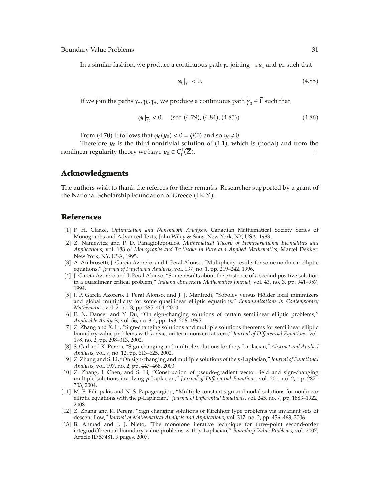In a similar fashion, we produce a continuous path *<sup>γ</sup>*<sup>−</sup> joining <sup>−</sup>*εu*<sup>1</sup> and *<sup>y</sup>*<sup>−</sup> such that

$$
\varphi_0|_{Y_-} < 0. \tag{4.85}
$$

If we join the paths *γ*−*, γ*<sub>0</sub>*, γ*<sub>+</sub>*,* we produce a continuous path  $\overline{\gamma}_0 \in \overline{\Gamma}$  such that

$$
\varphi_0|_{\overline{\gamma}_0} < 0
$$
, (see (4.79), (4.84), (4.85)).\n
$$
(4.86)
$$

From (4.70) it follows that  $\varphi_0(y_0) < 0 = \hat{\varphi}(0)$  and so  $y_0 \neq 0$ .<br>Therefore *y* is the third pontivial solution of (1.1) when

Therefore  $y_0$  is the third nontrivial solution of  $(1.1)$ , which is (nodal) and from the nonlinear regularity theory we have  $y_0 \in C_0^1(\overline{Z})$ .  $\Box$ 

# **Acknowledgments**

The authors wish to thank the referees for their remarks. Researcher supported by a grant of the National Scholarship Foundation of Greece (I.K.Y.).

## **References**

- 1 F. H. Clarke, *Optimization and Nonsmooth Analysis*, Canadian Mathematical Society Series of Monographs and Advanced Texts, John Wiley & Sons, New York, NY, USA, 1983.
- 2 Z. Naniewicz and P. D. Panagiotopoulos, *Mathematical Theory of Hemivariational Inequalities and Applications*, vol. 188 of *Monographs and Textbooks in Pure and Applied Mathematics*, Marcel Dekker, New York, NY, USA, 1995.
- [3] A. Ambrosetti, J. Garcia Azorero, and I. Peral Alonso, "Multiplicity results for some nonlinear elliptic equations," *Journal of Functional Analysis*, vol. 137, no. 1, pp. 219–242, 1996.
- [4] J. García Azorero and I. Peral Alonso, "Some results about the existence of a second positive solution in a quasilinear critical problem," *Indiana University Mathematics Journal*, vol. 43, no. 3, pp. 941–957, 1994.
- [5] J. P. García Azorero, I. Peral Alonso, and J. J. Manfredi, "Sobolev versus Hölder local minimizers and global multiplicity for some quasilinear elliptic equations," *Communications in Contemporary Mathematics*, vol. 2, no. 3, pp. 385–404, 2000.
- 6 E. N. Dancer and Y. Du, "On sign-changing solutions of certain semilinear elliptic problems," *Applicable Analysis*, vol. 56, no. 3-4, pp. 193–206, 1995.
- 7 Z. Zhang and X. Li, "Sign-changing solutions and multiple solutions theorems for semilinear elliptic boundary value problems with a reaction term nonzero at zero," *Journal of Differential Equations*, vol. 178, no. 2, pp. 298–313, 2002.
- 8 S. Carl and K. Perera, "Sign-changing and multiple solutions for the *p*-Laplacian," *Abstract and Applied Analysis*, vol. 7, no. 12, pp. 613–625, 2002.
- 9 Z. Zhang and S. Li, "On sign-changing and multiple solutions of the *p*-Laplacian," *Journal of Functional Analysis*, vol. 197, no. 2, pp. 447–468, 2003.
- [10] Z. Zhang, J. Chen, and S. Li, "Construction of pseudo-gradient vector field and sign-changing multiple solutions involving *p*-Laplacian," *Journal of Differential Equations*, vol. 201, no. 2, pp. 287– 303, 2004.
- 11 M. E. Filippakis and N. S. Papageorgiou, "Multiple constant sign and nodal solutions for nonlinear elliptic equations with the *p*-Laplacian," *Journal of Differential Equations*, vol. 245, no. 7, pp. 1883–1922, 2008.
- 12 Z. Zhang and K. Perera, "Sign changing solutions of Kirchhoff type problems via invariant sets of descent flow," *Journal of Mathematical Analysis and Applications*, vol. 317, no. 2, pp. 456–463, 2006.
- 13 B. Ahmad and J. J. Nieto, "The monotone iterative technique for three-point second-order integrodifferential boundary value problems with *p*-Laplacian," *Boundary Value Problems*, vol. 2007, Article ID 57481, 9 pages, 2007.